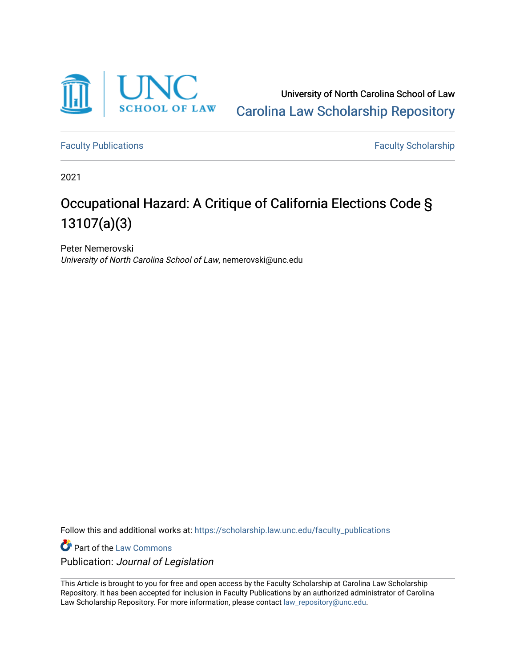

University of North Carolina School of Law [Carolina Law Scholarship Repository](https://scholarship.law.unc.edu/) 

[Faculty Publications](https://scholarship.law.unc.edu/faculty_publications) **Faculty Scholarship** 

2021

# Occupational Hazard: A Critique of California Elections Code § 13107(a)(3)

Peter Nemerovski University of North Carolina School of Law, nemerovski@unc.edu

Follow this and additional works at: [https://scholarship.law.unc.edu/faculty\\_publications](https://scholarship.law.unc.edu/faculty_publications?utm_source=scholarship.law.unc.edu%2Ffaculty_publications%2F596&utm_medium=PDF&utm_campaign=PDFCoverPages)

**Part of the [Law Commons](https://network.bepress.com/hgg/discipline/578?utm_source=scholarship.law.unc.edu%2Ffaculty_publications%2F596&utm_medium=PDF&utm_campaign=PDFCoverPages)** Publication: Journal of Legislation

This Article is brought to you for free and open access by the Faculty Scholarship at Carolina Law Scholarship Repository. It has been accepted for inclusion in Faculty Publications by an authorized administrator of Carolina Law Scholarship Repository. For more information, please contact [law\\_repository@unc.edu.](mailto:law_repository@unc.edu)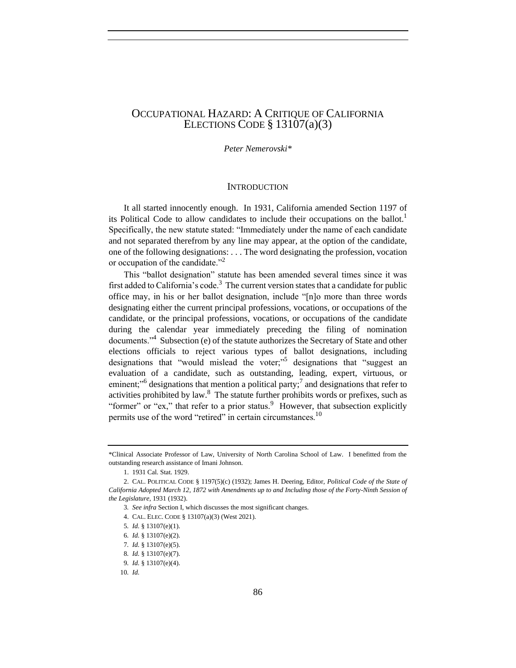# OCCUPATIONAL HAZARD: A CRITIQUE OF CALIFORNIA ELECTIONS CODE  $\S$  13107(a)(3)

*Peter Nemerovski\**

## **INTRODUCTION**

It all started innocently enough. In 1931, California amended Section 1197 of its Political Code to allow candidates to include their occupations on the ballot.<sup>1</sup> Specifically, the new statute stated: "Immediately under the name of each candidate and not separated therefrom by any line may appear, at the option of the candidate, one of the following designations: . . . The word designating the profession, vocation or occupation of the candidate."<sup>2</sup>

This "ballot designation" statute has been amended several times since it was first added to California's code.<sup>3</sup> The current version states that a candidate for public office may, in his or her ballot designation, include "[n]o more than three words designating either the current principal professions, vocations, or occupations of the candidate, or the principal professions, vocations, or occupations of the candidate during the calendar year immediately preceding the filing of nomination documents."<sup>4</sup> Subsection (e) of the statute authorizes the Secretary of State and other elections officials to reject various types of ballot designations, including designations that "would mislead the voter;"<sup>5</sup> designations that "suggest an evaluation of a candidate, such as outstanding, leading, expert, virtuous, or eminent;"<sup>6</sup> designations that mention a political party;<sup>7</sup> and designations that refer to activities prohibited by law. $8$  The statute further prohibits words or prefixes, such as "former" or "ex," that refer to a prior status. However, that subsection explicitly permits use of the word "retired" in certain circumstances.<sup>10</sup>

<sup>\*</sup>Clinical Associate Professor of Law, University of North Carolina School of Law. I benefitted from the outstanding research assistance of Imani Johnson.

<sup>1.</sup> 1931 Cal. Stat. 1929.

<sup>2.</sup> CAL. POLITICAL CODE § 1197(5)(c) (1932); James H. Deering, Editor, *Political Code of the State of California Adopted March 12, 1872 with Amendments up to and Including those of the Forty-Ninth Session of the Legislature*, 1931 (1932).

<sup>3</sup>*. See infra* Section I, which discusses the most significant changes.

<sup>4.</sup> CAL. ELEC. CODE § 13107(a)(3) (West 2021).

<sup>5</sup>*. Id.* § 13107(e)(1).

<sup>6</sup>*. Id.* § 13107(e)(2).

<sup>7</sup>*. Id.* § 13107(e)(5).

<sup>8</sup>*. Id.* § 13107(e)(7).

<sup>9</sup>*. Id.* § 13107(e)(4).

<sup>10</sup>*. Id.*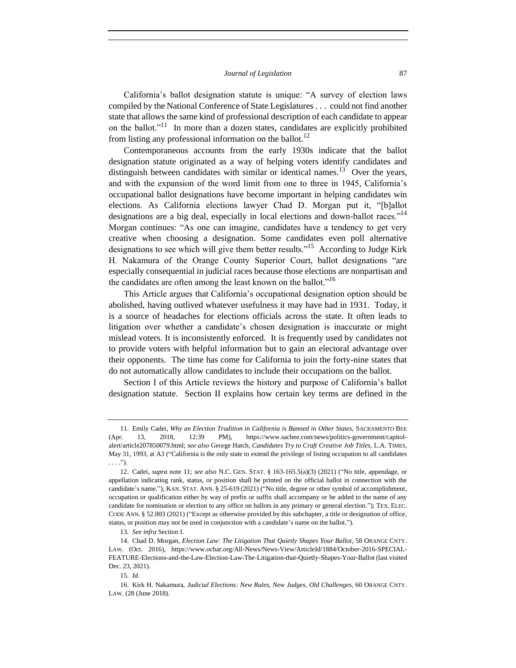California's ballot designation statute is unique: "A survey of election laws compiled by the National Conference of State Legislatures . . . could not find another state that allows the same kind of professional description of each candidate to appear on the ballot."<sup>11</sup> In more than a dozen states, candidates are explicitly prohibited from listing any professional information on the ballot. $^{12}$ 

Contemporaneous accounts from the early 1930s indicate that the ballot designation statute originated as a way of helping voters identify candidates and distinguish between candidates with similar or identical names.<sup>13</sup> Over the years, and with the expansion of the word limit from one to three in 1945, California's occupational ballot designations have become important in helping candidates win elections. As California elections lawyer Chad D. Morgan put it, "[b]allot designations are a big deal, especially in local elections and down-ballot races."<sup>14</sup> Morgan continues: "As one can imagine, candidates have a tendency to get very creative when choosing a designation. Some candidates even poll alternative designations to see which will give them better results."<sup>15</sup> According to Judge Kirk H. Nakamura of the Orange County Superior Court, ballot designations "are especially consequential in judicial races because those elections are nonpartisan and the candidates are often among the least known on the ballot."<sup>16</sup>

This Article argues that California's occupational designation option should be abolished, having outlived whatever usefulness it may have had in 1931. Today, it is a source of headaches for elections officials across the state. It often leads to litigation over whether a candidate's chosen designation is inaccurate or might mislead voters. It is inconsistently enforced. It is frequently used by candidates not to provide voters with helpful information but to gain an electoral advantage over their opponents. The time has come for California to join the forty-nine states that do not automatically allow candidates to include their occupations on the ballot.

Section I of this Article reviews the history and purpose of California's ballot designation statute. Section II explains how certain key terms are defined in the

<sup>11.</sup> Emily Cadei, *Why an Election Tradition in California is Banned in Other States*, SACRAMENTO BEE (Apr. 13, 2018, 12:39 PM), https://www.sacbee.com/news/politics-government/capitolalert/article207850079.html; *see also* George Hatch, *Candidates Try to Craft Creative Job Titles*, L.A. TIMES, May 31, 1993, at A3 ("California is the only state to extend the privilege of listing occupation to all candidates . . . .").

<sup>12.</sup> Cadei, *supra* note 11; *see also* N.C. GEN. STAT. § 163-165.5(a)(3) (2021) ("No title, appendage, or appellation indicating rank, status, or position shall be printed on the official ballot in connection with the candidate's name."); KAN. STAT. ANN. § 25-619 (2021) ("No title, degree or other symbol of accomplishment, occupation or qualification either by way of prefix or suffix shall accompany or be added to the name of any candidate for nomination or election to any office on ballots in any primary or general election."); TEX. ELEC. CODE ANN. § 52.003 (2021) ("Except as otherwise provided by this subchapter, a title or designation of office, status, or position may not be used in conjunction with a candidate's name on the ballot.").

<sup>13</sup>*. See infra* Section I.

<sup>14.</sup> Chad D. Morgan, *Election Law: The Litigation That Quietly Shapes Your Ballot*, 58 ORANGE CNTY. LAW. (Oct. 2016), https://www.ocbar.org/All-News/News-View/ArticleId/1884/October-2016-SPECIAL-FEATURE-Elections-and-the-Law-Election-Law-The-Litigation-that-Quietly-Shapes-Your-Ballot (last visited Dec. 23, 2021).

<sup>15</sup>*. Id.*

<sup>16.</sup> Kirk H. Nakamura, *Judicial Elections: New Rules, New Judges, Old Challenges*, 60 ORANGE CNTY. LAW. (28 (June 2018).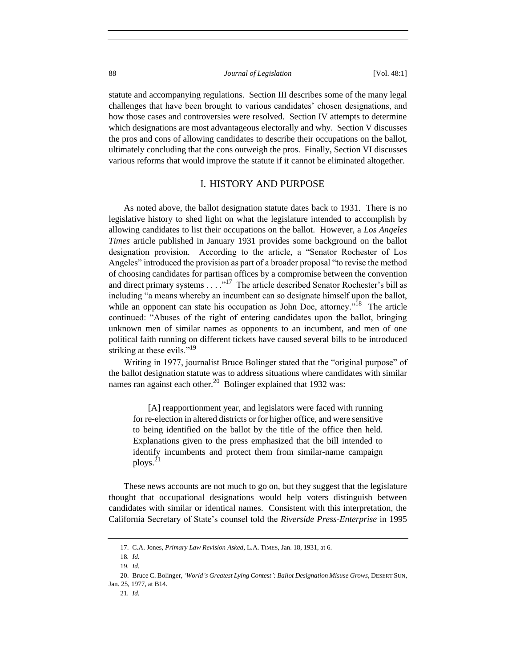statute and accompanying regulations. Section III describes some of the many legal challenges that have been brought to various candidates' chosen designations, and how those cases and controversies were resolved. Section IV attempts to determine which designations are most advantageous electorally and why. Section V discusses the pros and cons of allowing candidates to describe their occupations on the ballot, ultimately concluding that the cons outweigh the pros. Finally, Section VI discusses various reforms that would improve the statute if it cannot be eliminated altogether.

## I. HISTORY AND PURPOSE

As noted above, the ballot designation statute dates back to 1931. There is no legislative history to shed light on what the legislature intended to accomplish by allowing candidates to list their occupations on the ballot. However, a *Los Angeles Times* article published in January 1931 provides some background on the ballot designation provision. According to the article, a "Senator Rochester of Los Angeles" introduced the provision as part of a broader proposal "to revise the method of choosing candidates for partisan offices by a compromise between the convention and direct primary systems  $\dots$   $\cdot$ <sup>17</sup>. The article described Senator Rochester's bill as including "a means whereby an incumbent can so designate himself upon the ballot, while an opponent can state his occupation as John Doe, attorney."<sup>18</sup> The article continued: "Abuses of the right of entering candidates upon the ballot, bringing unknown men of similar names as opponents to an incumbent, and men of one political faith running on different tickets have caused several bills to be introduced striking at these evils."<sup>19</sup>

Writing in 1977, journalist Bruce Bolinger stated that the "original purpose" of the ballot designation statute was to address situations where candidates with similar names ran against each other.<sup>20</sup> Bolinger explained that 1932 was:

[A] reapportionment year, and legislators were faced with running for re-election in altered districts or for higher office, and were sensitive to being identified on the ballot by the title of the office then held. Explanations given to the press emphasized that the bill intended to identify incumbents and protect them from similar-name campaign ploys.<sup>21</sup>

These news accounts are not much to go on, but they suggest that the legislature thought that occupational designations would help voters distinguish between candidates with similar or identical names. Consistent with this interpretation, the California Secretary of State's counsel told the *Riverside Press-Enterprise* in 1995

<sup>17.</sup> C.A. Jones, *Primary Law Revision Asked*, L.A. TIMES, Jan. 18, 1931, at 6.

<sup>18</sup>*. Id.*

<sup>19</sup>*. Id.*

<sup>20.</sup> Bruce C. Bolinger, *'World's Greatest Lying Contest': Ballot Designation Misuse Grows*, DESERT SUN,

Jan. 25, 1977, at B14.

<sup>21</sup>*. Id.*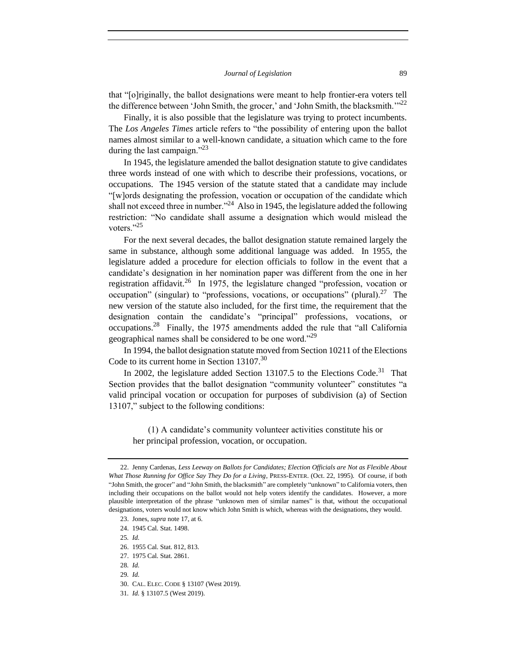that "[o]riginally, the ballot designations were meant to help frontier-era voters tell the difference between 'John Smith, the grocer,' and 'John Smith, the blacksmith.'"<sup>22</sup>

Finally, it is also possible that the legislature was trying to protect incumbents. The *Los Angeles Times* article refers to "the possibility of entering upon the ballot names almost similar to a well-known candidate, a situation which came to the fore during the last campaign." $^{23}$ 

In 1945, the legislature amended the ballot designation statute to give candidates three words instead of one with which to describe their professions, vocations, or occupations. The 1945 version of the statute stated that a candidate may include "[w]ords designating the profession, vocation or occupation of the candidate which shall not exceed three in number."<sup>24</sup> Also in 1945, the legislature added the following restriction: "No candidate shall assume a designation which would mislead the voters."<sup>25</sup>

For the next several decades, the ballot designation statute remained largely the same in substance, although some additional language was added. In 1955, the legislature added a procedure for election officials to follow in the event that a candidate's designation in her nomination paper was different from the one in her registration affidavit.<sup>26</sup> In 1975, the legislature changed "profession, vocation or occupation" (singular) to "professions, vocations, or occupations" (plural).<sup>27</sup> The new version of the statute also included, for the first time, the requirement that the designation contain the candidate's "principal" professions, vocations, or occupations.<sup>28</sup> Finally, the 1975 amendments added the rule that "all California geographical names shall be considered to be one word."<sup>29</sup>

In 1994, the ballot designation statute moved from Section 10211 of the Elections Code to its current home in Section 13107.<sup>30</sup>

In 2002, the legislature added Section 13107.5 to the Elections Code.<sup>31</sup> That Section provides that the ballot designation "community volunteer" constitutes "a valid principal vocation or occupation for purposes of subdivision (a) of Section 13107," subject to the following conditions:

(1) A candidate's community volunteer activities constitute his or her principal profession, vocation, or occupation.

<sup>22.</sup> Jenny Cardenas, *Less Leeway on Ballots for Candidates; Election Officials are Not as Flexible About What Those Running for Office Say They Do for a Living*, PRESS-ENTER. (Oct. 22, 1995). Of course, if both "John Smith, the grocer" and "John Smith, the blacksmith" are completely "unknown" to California voters, then including their occupations on the ballot would not help voters identify the candidates. However, a more plausible interpretation of the phrase "unknown men of similar names" is that, without the occupational designations, voters would not know which John Smith is which, whereas with the designations, they would.

<sup>23.</sup> Jones, *supra* note 17, at 6.

<sup>24.</sup> 1945 Cal. Stat. 1498.

<sup>25</sup>*. Id.*

<sup>26.</sup> 1955 Cal. Stat. 812, 813.

<sup>27.</sup> 1975 Cal. Stat. 2861.

<sup>28</sup>*. Id.*

<sup>29</sup>*. Id.*

<sup>30.</sup> CAL. ELEC. CODE § 13107 (West 2019).

<sup>31</sup>*. Id.* § 13107.5 (West 2019).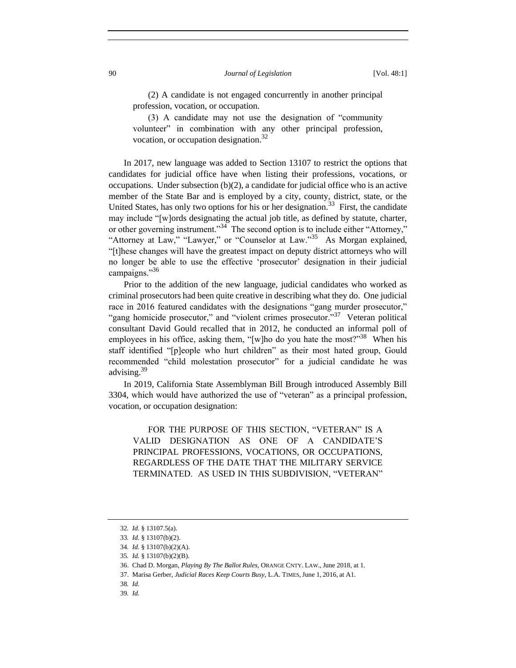(2) A candidate is not engaged concurrently in another principal profession, vocation, or occupation.

(3) A candidate may not use the designation of "community volunteer" in combination with any other principal profession, vocation, or occupation designation.<sup>32</sup>

In 2017, new language was added to Section 13107 to restrict the options that candidates for judicial office have when listing their professions, vocations, or occupations. Under subsection  $(b)(2)$ , a candidate for judicial office who is an active member of the State Bar and is employed by a city, county, district, state, or the United States, has only two options for his or her designation.<sup>33</sup> First, the candidate may include "[w]ords designating the actual job title, as defined by statute, charter, or other governing instrument."<sup>34</sup> The second option is to include either "Attorney," "Attorney at Law," "Lawyer," or "Counselor at Law."<sup>35</sup> As Morgan explained, "[t]hese changes will have the greatest impact on deputy district attorneys who will no longer be able to use the effective 'prosecutor' designation in their judicial campaigns."36

Prior to the addition of the new language, judicial candidates who worked as criminal prosecutors had been quite creative in describing what they do. One judicial race in 2016 featured candidates with the designations "gang murder prosecutor," "gang homicide prosecutor," and "violent crimes prosecutor."<sup>37</sup> Veteran political consultant David Gould recalled that in 2012, he conducted an informal poll of employees in his office, asking them, "[w]ho do you hate the most?"<sup>38</sup> When his staff identified "[p]eople who hurt children" as their most hated group, Gould recommended "child molestation prosecutor" for a judicial candidate he was advising.<sup>39</sup>

In 2019, California State Assemblyman Bill Brough introduced Assembly Bill 3304, which would have authorized the use of "veteran" as a principal profession, vocation, or occupation designation:

FOR THE PURPOSE OF THIS SECTION, "VETERAN" IS A VALID DESIGNATION AS ONE OF A CANDIDATE'S PRINCIPAL PROFESSIONS, VOCATIONS, OR OCCUPATIONS, REGARDLESS OF THE DATE THAT THE MILITARY SERVICE TERMINATED. AS USED IN THIS SUBDIVISION, "VETERAN"

<sup>32</sup>*. Id.* § 13107.5(a).

<sup>33</sup>*. Id.* § 13107(b)(2).

<sup>34</sup>*. Id.* § 13107(b)(2)(A).

<sup>35</sup>*. Id.* § 13107(b)(2)(B).

<sup>36.</sup> Chad D. Morgan, *Playing By The Ballot Rules*, ORANGE CNTY. LAW., June 2018, at 1.

<sup>37.</sup> Marisa Gerber, *Judicial Races Keep Courts Busy*, L.A. TIMES, June 1, 2016, at A1.

<sup>38</sup>*. Id.*

<sup>39</sup>*. Id.*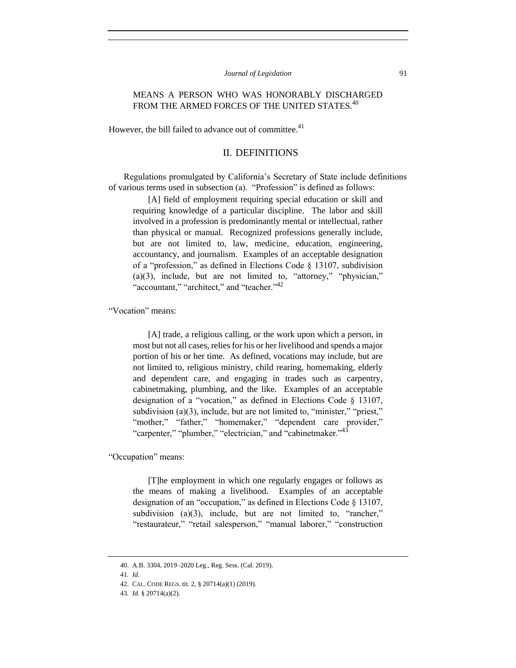# MEANS A PERSON WHO WAS HONORABLY DISCHARGED FROM THE ARMED FORCES OF THE UNITED STATES.<sup>40</sup>

However, the bill failed to advance out of committee.<sup>41</sup>

# II. DEFINITIONS

Regulations promulgated by California's Secretary of State include definitions of various terms used in subsection (a). "Profession" is defined as follows:

[A] field of employment requiring special education or skill and requiring knowledge of a particular discipline. The labor and skill involved in a profession is predominantly mental or intellectual, rather than physical or manual. Recognized professions generally include, but are not limited to, law, medicine, education, engineering, accountancy, and journalism. Examples of an acceptable designation of a "profession," as defined in Elections Code § 13107, subdivision (a)(3), include, but are not limited to, "attorney," "physician," "accountant," "architect," and "teacher."<sup>42</sup>

"Vocation" means:

[A] trade, a religious calling, or the work upon which a person, in most but not all cases, relies for his or her livelihood and spends a major portion of his or her time. As defined, vocations may include, but are not limited to, religious ministry, child rearing, homemaking, elderly and dependent care, and engaging in trades such as carpentry, cabinetmaking, plumbing, and the like. Examples of an acceptable designation of a "vocation," as defined in Elections Code § 13107, subdivision (a)(3), include, but are not limited to, "minister," "priest," "mother," "father," "homemaker," "dependent care provider," "carpenter," "plumber," "electrician," and "cabinetmaker."<sup>43</sup>

"Occupation" means:

[T]he employment in which one regularly engages or follows as the means of making a livelihood. Examples of an acceptable designation of an "occupation," as defined in Elections Code § 13107, subdivision (a)(3), include, but are not limited to, "rancher," "restaurateur," "retail salesperson," "manual laborer," "construction

<sup>40.</sup> A.B. 3304, 2019–2020 Leg., Reg. Sess. (Cal. 2019).

<sup>41</sup>*. Id.*

<sup>42.</sup> CAL. CODE REGS. tit. 2, § 20714(a)(1) (2019).

<sup>43</sup>*. Id.* § 20714(a)(2).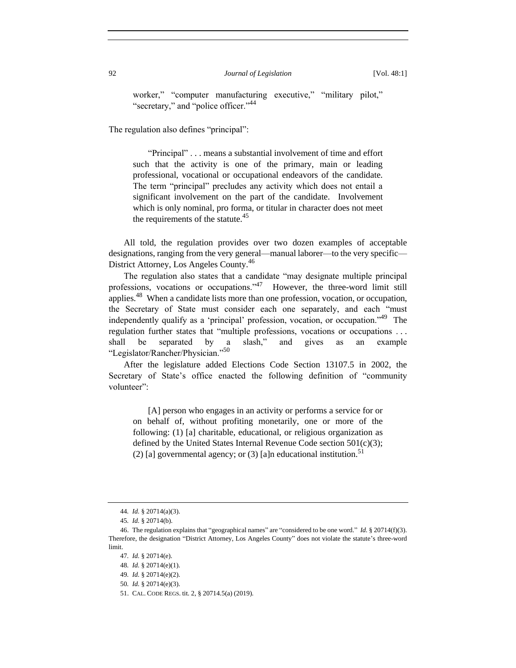worker," "computer manufacturing executive," "military pilot," "secretary," and "police officer."<sup>44</sup>

The regulation also defines "principal":

"Principal" . . . means a substantial involvement of time and effort such that the activity is one of the primary, main or leading professional, vocational or occupational endeavors of the candidate. The term "principal" precludes any activity which does not entail a significant involvement on the part of the candidate. Involvement which is only nominal, pro forma, or titular in character does not meet the requirements of the statute. $45$ 

All told, the regulation provides over two dozen examples of acceptable designations, ranging from the very general—manual laborer—to the very specific— District Attorney, Los Angeles County.<sup>46</sup>

The regulation also states that a candidate "may designate multiple principal professions, vocations or occupations."<sup>47</sup> However, the three-word limit still applies.<sup>48</sup> When a candidate lists more than one profession, vocation, or occupation, the Secretary of State must consider each one separately, and each "must independently qualify as a 'principal' profession, vocation, or occupation."<sup>49</sup> The regulation further states that "multiple professions, vocations or occupations . . . shall be separated by a slash," and gives as an example "Legislator/Rancher/Physician."<sup>50</sup>

After the legislature added Elections Code Section 13107.5 in 2002, the Secretary of State's office enacted the following definition of "community volunteer":

[A] person who engages in an activity or performs a service for or on behalf of, without profiting monetarily, one or more of the following: (1) [a] charitable, educational, or religious organization as defined by the United States Internal Revenue Code section  $501(c)(3)$ ; (2) [a] governmental agency; or (3) [a]n educational institution.<sup>51</sup>

<sup>44</sup>*. Id.* § 20714(a)(3).

<sup>45</sup>*. Id.* § 20714(b).

<sup>46.</sup> The regulation explains that "geographical names" are "considered to be one word." *Id.* § 20714(f)(3). Therefore, the designation "District Attorney, Los Angeles County" does not violate the statute's three-word limit.

<sup>47</sup>*. Id.* § 20714(e).

<sup>48</sup>*. Id.* § 20714(e)(1).

<sup>49</sup>*. Id.* § 20714(e)(2).

<sup>50</sup>*. Id.* § 20714(e)(3).

<sup>51.</sup> CAL. CODE REGS. tit. 2, § 20714.5(a) (2019).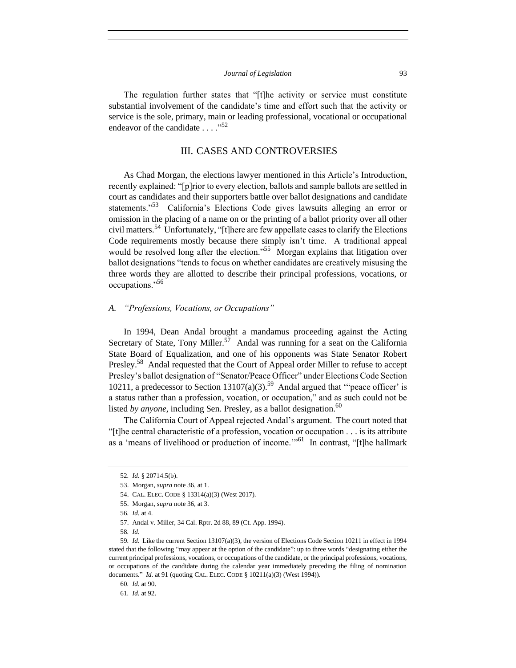The regulation further states that "[t]he activity or service must constitute substantial involvement of the candidate's time and effort such that the activity or service is the sole, primary, main or leading professional, vocational or occupational endeavor of the candidate  $\ldots$  ...<sup>52</sup>

## III. CASES AND CONTROVERSIES

As Chad Morgan, the elections lawyer mentioned in this Article's Introduction, recently explained: "[p]rior to every election, ballots and sample ballots are settled in court as candidates and their supporters battle over ballot designations and candidate statements."<sup>53</sup> California's Elections Code gives lawsuits alleging an error or omission in the placing of a name on or the printing of a ballot priority over all other civil matters.<sup>54</sup> Unfortunately, "[t]here are few appellate cases to clarify the Elections Code requirements mostly because there simply isn't time. A traditional appeal would be resolved long after the election."<sup>55</sup> Morgan explains that litigation over ballot designations "tends to focus on whether candidates are creatively misusing the three words they are allotted to describe their principal professions, vocations, or occupations."<sup>56</sup>

## *A. "Professions, Vocations, or Occupations"*

In 1994, Dean Andal brought a mandamus proceeding against the Acting Secretary of State, Tony Miller.<sup>57</sup> Andal was running for a seat on the California State Board of Equalization, and one of his opponents was State Senator Robert Presley.<sup>58</sup> Andal requested that the Court of Appeal order Miller to refuse to accept Presley's ballot designation of "Senator/Peace Officer" under Elections Code Section 10211, a predecessor to Section 13107(a)(3).<sup>59</sup> Andal argued that "peace officer' is a status rather than a profession, vocation, or occupation," and as such could not be listed *by anyone*, including Sen. Presley, as a ballot designation.<sup>60</sup>

The California Court of Appeal rejected Andal's argument. The court noted that "[t]he central characteristic of a profession, vocation or occupation . . . is its attribute as a 'means of livelihood or production of income."<sup>61</sup> In contrast, "[t]he hallmark

<sup>52</sup>*. Id.* § 20714.5(b).

<sup>53.</sup> Morgan, *supra* note 36, at 1.

<sup>54.</sup> CAL. ELEC. CODE § 13314(a)(3) (West 2017).

<sup>55.</sup> Morgan, *supra* note 36, at 3.

<sup>56</sup>*. Id.* at 4.

<sup>57.</sup> Andal v. Miller, 34 Cal. Rptr. 2d 88, 89 (Ct. App. 1994).

<sup>58</sup>*. Id.*

<sup>59</sup>*. Id.* Like the current Section 13107(a)(3), the version of Elections Code Section 10211 in effect in 1994 stated that the following "may appear at the option of the candidate": up to three words "designating either the current principal professions, vocations, or occupations of the candidate, or the principal professions, vocations, or occupations of the candidate during the calendar year immediately preceding the filing of nomination documents." *Id.* at 91 (quoting CAL. ELEC. CODE § 10211(a)(3) (West 1994)).

<sup>60</sup>*. Id.* at 90.

<sup>61</sup>*. Id.* at 92.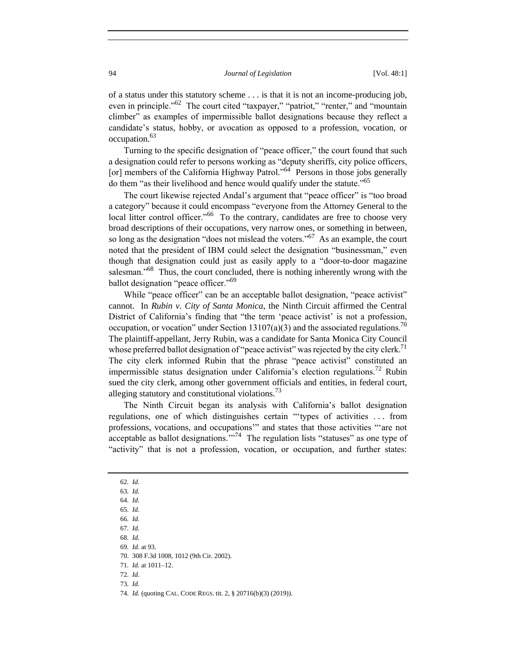of a status under this statutory scheme . . . is that it is not an income-producing job, even in principle."<sup>62</sup> The court cited "taxpayer," "patriot," "renter," and "mountain climber" as examples of impermissible ballot designations because they reflect a candidate's status, hobby, or avocation as opposed to a profession, vocation, or occupation.<sup>63</sup>

Turning to the specific designation of "peace officer," the court found that such a designation could refer to persons working as "deputy sheriffs, city police officers, [or] members of the California Highway Patrol."<sup>64</sup> Persons in those jobs generally do them "as their livelihood and hence would qualify under the statute."<sup>65</sup>

The court likewise rejected Andal's argument that "peace officer" is "too broad a category" because it could encompass "everyone from the Attorney General to the local litter control officer."<sup>66</sup> To the contrary, candidates are free to choose very broad descriptions of their occupations, very narrow ones, or something in between, so long as the designation "does not mislead the voters."<sup>67</sup> As an example, the court noted that the president of IBM could select the designation "businessman," even though that designation could just as easily apply to a "door-to-door magazine salesman."<sup>68</sup> Thus, the court concluded, there is nothing inherently wrong with the ballot designation "peace officer."<sup>69</sup>

While "peace officer" can be an acceptable ballot designation, "peace activist" cannot. In *Rubin v. City of Santa Monica*, the Ninth Circuit affirmed the Central District of California's finding that "the term 'peace activist' is not a profession, occupation, or vocation" under Section 13107(a)(3) and the associated regulations.<sup>70</sup> The plaintiff-appellant, Jerry Rubin, was a candidate for Santa Monica City Council whose preferred ballot designation of "peace activist" was rejected by the city clerk.<sup>71</sup> The city clerk informed Rubin that the phrase "peace activist" constituted an impermissible status designation under California's election regulations.<sup>72</sup> Rubin sued the city clerk, among other government officials and entities, in federal court, alleging statutory and constitutional violations.<sup>73</sup>

The Ninth Circuit began its analysis with California's ballot designation regulations, one of which distinguishes certain "'types of activities . . . from professions, vocations, and occupations'" and states that those activities "'are not acceptable as ballot designations."<sup>74</sup> The regulation lists "statuses" as one type of "activity" that is not a profession, vocation, or occupation, and further states:

69*. Id.* at 93.

73*. Id.*

<sup>62</sup>*. Id.*

<sup>63</sup>*. Id.*

<sup>64</sup>*. Id.*

<sup>65</sup>*. Id.*

<sup>66</sup>*. Id.*

<sup>67</sup>*. Id.*

<sup>68</sup>*. Id.*

<sup>70.</sup> 308 F.3d 1008, 1012 (9th Cir. 2002).

<sup>71</sup>*. Id.* at 1011–12.

<sup>72</sup>*. Id.*

<sup>74</sup>*. Id.* (quoting CAL. CODE REGS. tit. 2, § 20716(b)(3) (2019)).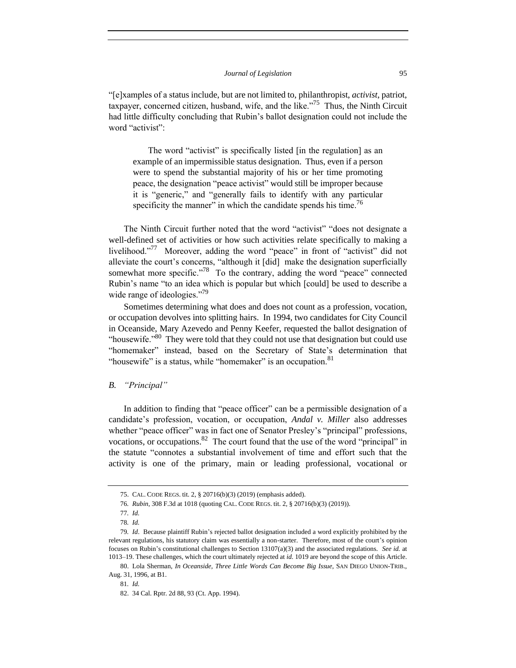"[e]xamples of a status include, but are not limited to, philanthropist, *activist*, patriot, taxpayer, concerned citizen, husband, wife, and the like."<sup>75</sup> Thus, the Ninth Circuit had little difficulty concluding that Rubin's ballot designation could not include the word "activist":

The word "activist" is specifically listed [in the regulation] as an example of an impermissible status designation. Thus, even if a person were to spend the substantial majority of his or her time promoting peace, the designation "peace activist" would still be improper because it is "generic," and "generally fails to identify with any particular specificity the manner" in which the candidate spends his time.<sup>76</sup>

The Ninth Circuit further noted that the word "activist" "does not designate a well-defined set of activities or how such activities relate specifically to making a livelihood."<sup>77</sup> Moreover, adding the word "peace" in front of "activist" did not alleviate the court's concerns, "although it [did] make the designation superficially somewhat more specific."<sup>78</sup> To the contrary, adding the word "peace" connected Rubin's name "to an idea which is popular but which [could] be used to describe a wide range of ideologies."<sup>79</sup>

Sometimes determining what does and does not count as a profession, vocation, or occupation devolves into splitting hairs. In 1994, two candidates for City Council in Oceanside, Mary Azevedo and Penny Keefer, requested the ballot designation of "housewife. $180$ " They were told that they could not use that designation but could use "homemaker" instead, based on the Secretary of State's determination that "housewife" is a status, while "homemaker" is an occupation. $81$ 

## *B. "Principal"*

In addition to finding that "peace officer" can be a permissible designation of a candidate's profession, vocation, or occupation, *Andal v. Miller* also addresses whether "peace officer" was in fact one of Senator Presley's "principal" professions, vocations, or occupations.  $82$  The court found that the use of the word "principal" in the statute "connotes a substantial involvement of time and effort such that the activity is one of the primary, main or leading professional, vocational or

<sup>75.</sup> CAL. CODE REGS. tit. 2, § 20716(b)(3) (2019) (emphasis added).

<sup>76</sup>*. Rubin*, 308 F.3d at 1018 (quoting CAL. CODE REGS. tit. 2, § 20716(b)(3) (2019)).

<sup>77</sup>*. Id.*

<sup>78</sup>*. Id.*

<sup>79</sup>*. Id*. Because plaintiff Rubin's rejected ballot designation included a word explicitly prohibited by the relevant regulations, his statutory claim was essentially a non-starter. Therefore, most of the court's opinion focuses on Rubin's constitutional challenges to Section 13107(a)(3) and the associated regulations. *See id.* at 1013–19. These challenges, which the court ultimately rejected at *id.* 1019 are beyond the scope of this Article.

<sup>80.</sup> Lola Sherman, *In Oceanside, Three Little Words Can Become Big Issue*, SAN DIEGO UNION-TRIB., Aug. 31, 1996, at B1.

<sup>81</sup>*. Id.*

<sup>82.</sup> 34 Cal. Rptr. 2d 88, 93 (Ct. App. 1994).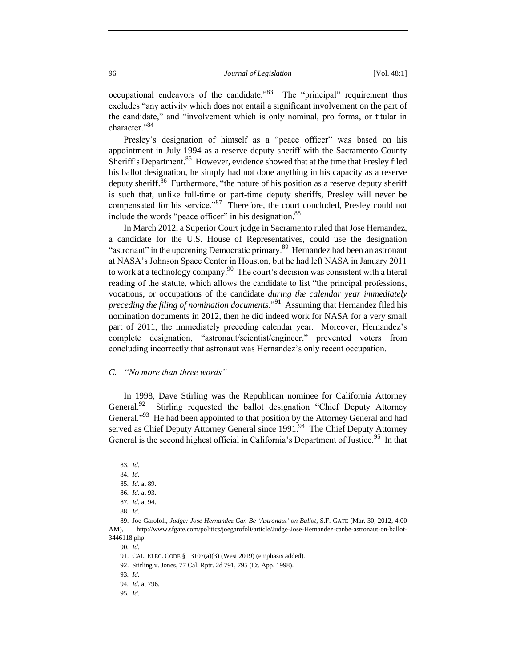occupational endeavors of the candidate."<sup>83</sup> The "principal" requirement thus excludes "any activity which does not entail a significant involvement on the part of the candidate," and "involvement which is only nominal, pro forma, or titular in character."<sup>84</sup>

Presley's designation of himself as a "peace officer" was based on his appointment in July 1994 as a reserve deputy sheriff with the Sacramento County Sheriff's Department.<sup>85</sup> However, evidence showed that at the time that Presley filed his ballot designation, he simply had not done anything in his capacity as a reserve deputy sheriff.<sup>86</sup> Furthermore, "the nature of his position as a reserve deputy sheriff is such that, unlike full-time or part-time deputy sheriffs, Presley will never be compensated for his service."<sup>87</sup> Therefore, the court concluded, Presley could not include the words "peace officer" in his designation.<sup>88</sup>

In March 2012, a Superior Court judge in Sacramento ruled that Jose Hernandez, a candidate for the U.S. House of Representatives, could use the designation "astronaut" in the upcoming Democratic primary.<sup>89</sup> Hernandez had been an astronaut at NASA's Johnson Space Center in Houston, but he had left NASA in January 2011 to work at a technology company. $^{90}$  The court's decision was consistent with a literal reading of the statute, which allows the candidate to list "the principal professions, vocations, or occupations of the candidate *during the calendar year immediately preceding the filing of nomination documents*."<sup>91</sup> Assuming that Hernandez filed his nomination documents in 2012, then he did indeed work for NASA for a very small part of 2011, the immediately preceding calendar year. Moreover, Hernandez's complete designation, "astronaut/scientist/engineer," prevented voters from concluding incorrectly that astronaut was Hernandez's only recent occupation.

#### *C. "No more than three words"*

In 1998, Dave Stirling was the Republican nominee for California Attorney General.<sup>92</sup> Stirling requested the ballot designation "Chief Deputy Attorney General."<sup>93</sup> He had been appointed to that position by the Attorney General and had served as Chief Deputy Attorney General since 1991.<sup>94</sup> The Chief Deputy Attorney General is the second highest official in California's Department of Justice.<sup>95</sup> In that

90*. Id.*

92. Stirling v. Jones, 77 Cal. Rptr. 2d 791, 795 (Ct. App. 1998).

<sup>83</sup>*. Id.*

<sup>84</sup>*. Id.*

<sup>85</sup>*. Id.* at 89.

<sup>86</sup>*. Id.* at 93.

<sup>87</sup>*. Id.* at 94.

<sup>88</sup>*. Id.*

<sup>89.</sup> Joe Garofoli, *Judge: Jose Hernandez Can Be 'Astronaut' on Ballot*, S.F. GATE (Mar. 30, 2012, 4:00 AM), http://www.sfgate.com/politics/joegarofoli/article/Judge-Jose-Hernandez-canbe-astronaut-on-ballot-3446118.php.

<sup>91.</sup> CAL. ELEC. CODE § 13107(a)(3) (West 2019) (emphasis added).

<sup>93</sup>*. Id.*

<sup>94</sup>*. Id.* at 796.

<sup>95</sup>*. Id.*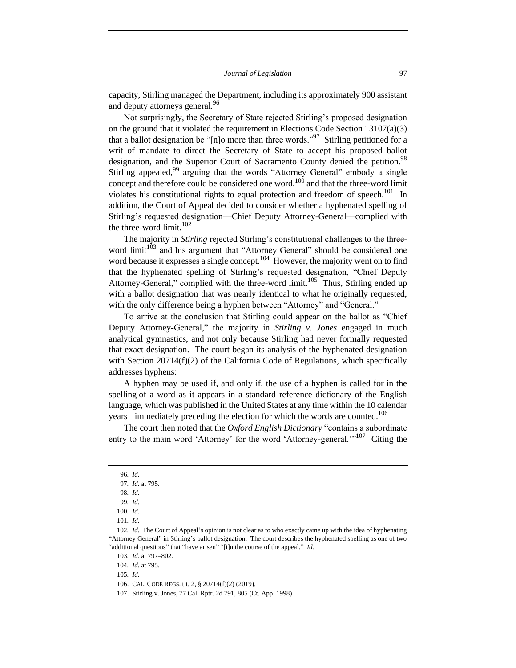capacity, Stirling managed the Department, including its approximately 900 assistant and deputy attorneys general.<sup>96</sup>

Not surprisingly, the Secretary of State rejected Stirling's proposed designation on the ground that it violated the requirement in Elections Code Section  $13107(a)(3)$ that a ballot designation be "[n]o more than three words."<sup>97</sup> Stirling petitioned for a writ of mandate to direct the Secretary of State to accept his proposed ballot designation, and the Superior Court of Sacramento County denied the petition.<sup>98</sup> Stirling appealed,<sup>99</sup> arguing that the words "Attorney General" embody a single concept and therefore could be considered one word, $100$  and that the three-word limit violates his constitutional rights to equal protection and freedom of speech.<sup>101</sup> In addition, the Court of Appeal decided to consider whether a hyphenated spelling of Stirling's requested designation—Chief Deputy Attorney-General—complied with the three-word limit. $102$ 

The majority in *Stirling* rejected Stirling's constitutional challenges to the threeword limit<sup>103</sup> and his argument that "Attorney General" should be considered one word because it expresses a single concept.<sup>104</sup> However, the majority went on to find that the hyphenated spelling of Stirling's requested designation, "Chief Deputy Attorney-General," complied with the three-word limit.<sup>105</sup> Thus, Stirling ended up with a ballot designation that was nearly identical to what he originally requested, with the only difference being a hyphen between "Attorney" and "General."

To arrive at the conclusion that Stirling could appear on the ballot as "Chief Deputy Attorney-General," the majority in *Stirling v. Jones* engaged in much analytical gymnastics, and not only because Stirling had never formally requested that exact designation. The court began its analysis of the hyphenated designation with Section 20714(f)(2) of the California Code of Regulations, which specifically addresses hyphens:

A hyphen may be used if, and only if, the use of a hyphen is called for in the spelling of a word as it appears in a standard reference dictionary of the English language, which was published in the United States at any time within the 10 calendar years immediately preceding the election for which the words are counted.<sup>106</sup>

The court then noted that the *Oxford English Dictionary* "contains a subordinate entry to the main word 'Attorney' for the word 'Attorney-general.'"<sup>107</sup> Citing the

<sup>96</sup>*. Id.*

<sup>97</sup>*. Id.* at 795.

<sup>98</sup>*. Id.*

<sup>99</sup>*. Id.*

<sup>100</sup>*. Id.*

<sup>101</sup>*. Id.*

<sup>102</sup>*. Id.* The Court of Appeal's opinion is not clear as to who exactly came up with the idea of hyphenating "Attorney General" in Stirling's ballot designation. The court describes the hyphenated spelling as one of two "additional questions" that "have arisen" "[i]n the course of the appeal." *Id.*

<sup>103</sup>*. Id.* at 797–802.

<sup>104</sup>*. Id.* at 795.

<sup>105</sup>*. Id.*

<sup>106.</sup> CAL. CODE REGS. tit. 2, § 20714(f)(2) (2019).

<sup>107.</sup> Stirling v. Jones, 77 Cal. Rptr. 2d 791, 805 (Ct. App. 1998).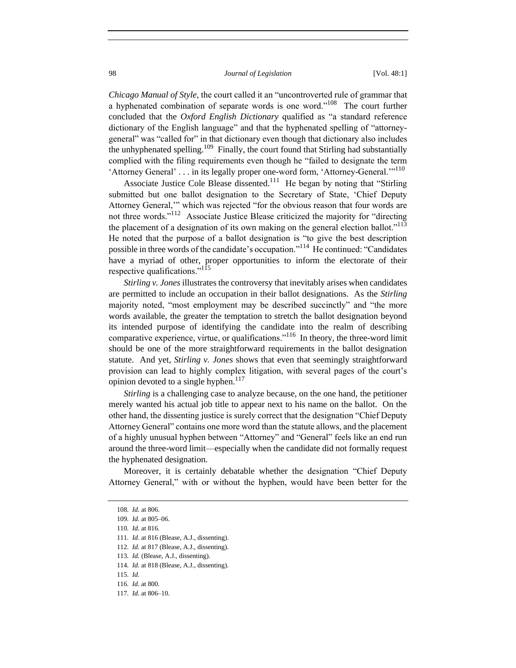*Chicago Manual of Style*, the court called it an "uncontroverted rule of grammar that a hyphenated combination of separate words is one word."<sup>108</sup> The court further concluded that the *Oxford English Dictionary* qualified as "a standard reference dictionary of the English language" and that the hyphenated spelling of "attorneygeneral" was "called for" in that dictionary even though that dictionary also includes the unhyphenated spelling.<sup>109</sup> Finally, the court found that Stirling had substantially complied with the filing requirements even though he "failed to designate the term 'Attorney General' . . . in its legally proper one-word form, 'Attorney-General."<sup>110</sup>

Associate Justice Cole Blease dissented.<sup>111</sup> He began by noting that "Stirling submitted but one ballot designation to the Secretary of State, 'Chief Deputy Attorney General,'" which was rejected "for the obvious reason that four words are not three words."<sup>112</sup> Associate Justice Blease criticized the majority for "directing the placement of a designation of its own making on the general election ballot."<sup>113</sup> He noted that the purpose of a ballot designation is "to give the best description possible in three words of the candidate's occupation."<sup>114</sup> He continued: "Candidates have a myriad of other, proper opportunities to inform the electorate of their respective qualifications."<sup>115</sup>

*Stirling v. Jones* illustrates the controversy that inevitably arises when candidates are permitted to include an occupation in their ballot designations. As the *Stirling*  majority noted, "most employment may be described succinctly" and "the more words available, the greater the temptation to stretch the ballot designation beyond its intended purpose of identifying the candidate into the realm of describing comparative experience, virtue, or qualifications."<sup>116</sup> In theory, the three-word limit should be one of the more straightforward requirements in the ballot designation statute. And yet, *Stirling v. Jones* shows that even that seemingly straightforward provision can lead to highly complex litigation, with several pages of the court's opinion devoted to a single hyphen.<sup>117</sup>

*Stirling* is a challenging case to analyze because, on the one hand, the petitioner merely wanted his actual job title to appear next to his name on the ballot. On the other hand, the dissenting justice is surely correct that the designation "Chief Deputy Attorney General" contains one more word than the statute allows, and the placement of a highly unusual hyphen between "Attorney" and "General" feels like an end run around the three-word limit—especially when the candidate did not formally request the hyphenated designation.

Moreover, it is certainly debatable whether the designation "Chief Deputy Attorney General," with or without the hyphen, would have been better for the

110*. Id.* at 816*.*

<sup>108</sup>*. Id.* at 806.

<sup>109</sup>*. Id.* at 805–06.

<sup>111</sup>*. Id.* at 816 (Blease, A.J., dissenting).

<sup>112</sup>*. Id.* at 817 (Blease, A.J., dissenting).

<sup>113</sup>*. Id.* (Blease, A.J., dissenting).

<sup>114</sup>*. Id.* at 818 (Blease, A.J., dissenting).

<sup>115</sup>*. Id.*

<sup>116</sup>*. Id.* at 800.

<sup>117</sup>*. Id.* at 806–10.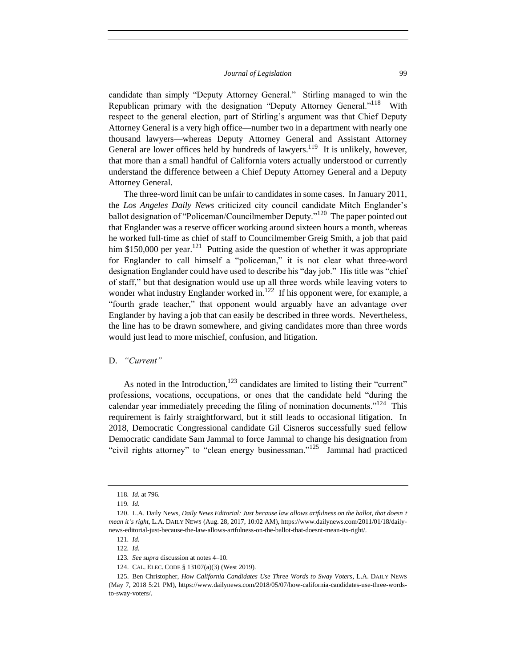candidate than simply "Deputy Attorney General." Stirling managed to win the Republican primary with the designation "Deputy Attorney General."<sup>118</sup> With respect to the general election, part of Stirling's argument was that Chief Deputy Attorney General is a very high office—number two in a department with nearly one thousand lawyers—whereas Deputy Attorney General and Assistant Attorney General are lower offices held by hundreds of lawyers.<sup>119</sup> It is unlikely, however, that more than a small handful of California voters actually understood or currently understand the difference between a Chief Deputy Attorney General and a Deputy Attorney General.

The three-word limit can be unfair to candidates in some cases. In January 2011, the *Los Angeles Daily News* criticized city council candidate Mitch Englander's ballot designation of "Policeman/Councilmember Deputy."<sup>120</sup> The paper pointed out that Englander was a reserve officer working around sixteen hours a month, whereas he worked full-time as chief of staff to Councilmember Greig Smith, a job that paid him \$150,000 per year.<sup>121</sup> Putting aside the question of whether it was appropriate for Englander to call himself a "policeman," it is not clear what three-word designation Englander could have used to describe his "day job." His title was "chief of staff," but that designation would use up all three words while leaving voters to wonder what industry Englander worked in.<sup>122</sup> If his opponent were, for example, a "fourth grade teacher," that opponent would arguably have an advantage over Englander by having a job that can easily be described in three words. Nevertheless, the line has to be drawn somewhere, and giving candidates more than three words would just lead to more mischief, confusion, and litigation.

## D. *"Current"*

As noted in the Introduction,  $123$  candidates are limited to listing their "current" professions, vocations, occupations, or ones that the candidate held "during the calendar year immediately preceding the filing of nomination documents."<sup>124</sup> This requirement is fairly straightforward, but it still leads to occasional litigation. In 2018, Democratic Congressional candidate Gil Cisneros successfully sued fellow Democratic candidate Sam Jammal to force Jammal to change his designation from "civil rights attorney" to "clean energy businessman."<sup>125</sup> Jammal had practiced

<sup>118</sup>*. Id.* at 796.

<sup>119</sup>*. Id.*

<sup>120.</sup> L.A. Daily News, *Daily News Editorial: Just because law allows artfulness on the ballot, that doesn't mean it's right*, L.A. DAILY NEWS (Aug. 28, 2017, 10:02 AM), https://www.dailynews.com/2011/01/18/dailynews-editorial-just-because-the-law-allows-artfulness-on-the-ballot-that-doesnt-mean-its-right/.

<sup>121</sup>*. Id.*

<sup>122</sup>*. Id.*

<sup>123</sup>*. See supra* discussion at notes 4–10.

<sup>124.</sup> CAL. ELEC. CODE § 13107(a)(3) (West 2019).

<sup>125.</sup> Ben Christopher, *How California Candidates Use Three Words to Sway Voters*, L.A. DAILY NEWS (May 7, 2018 5:21 PM), https://www.dailynews.com/2018/05/07/how-california-candidates-use-three-wordsto-sway-voters/.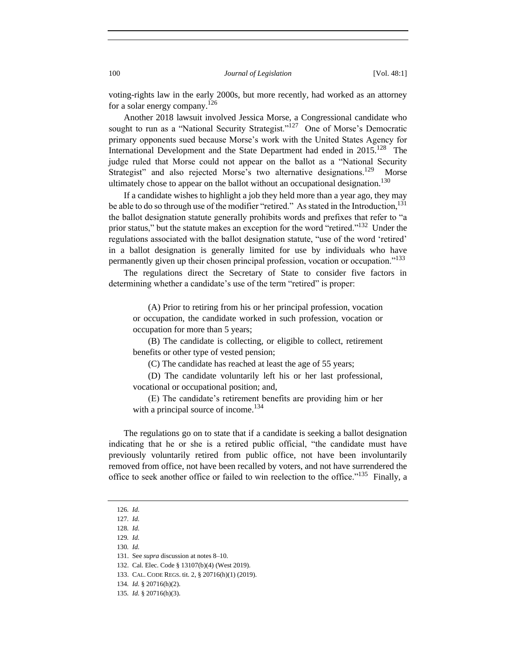voting-rights law in the early 2000s, but more recently, had worked as an attorney for a solar energy company.<sup>126</sup>

Another 2018 lawsuit involved Jessica Morse, a Congressional candidate who sought to run as a "National Security Strategist."<sup>127</sup> One of Morse's Democratic primary opponents sued because Morse's work with the United States Agency for International Development and the State Department had ended in  $2015$ <sup>128</sup> The judge ruled that Morse could not appear on the ballot as a "National Security Strategist" and also rejected Morse's two alternative designations.<sup>129</sup> Morse ultimately chose to appear on the ballot without an occupational designation.<sup>130</sup>

If a candidate wishes to highlight a job they held more than a year ago, they may be able to do so through use of the modifier "retired." As stated in the Introduction,  $^{131}$ the ballot designation statute generally prohibits words and prefixes that refer to "a prior status," but the statute makes an exception for the word "retired."<sup>132</sup> Under the regulations associated with the ballot designation statute, "use of the word 'retired' in a ballot designation is generally limited for use by individuals who have permanently given up their chosen principal profession, vocation or occupation."<sup>133</sup>

The regulations direct the Secretary of State to consider five factors in determining whether a candidate's use of the term "retired" is proper:

(A) Prior to retiring from his or her principal profession, vocation or occupation, the candidate worked in such profession, vocation or occupation for more than 5 years;

(B) The candidate is collecting, or eligible to collect, retirement benefits or other type of vested pension;

(C) The candidate has reached at least the age of 55 years;

(D) The candidate voluntarily left his or her last professional, vocational or occupational position; and,

(E) The candidate's retirement benefits are providing him or her with a principal source of income.<sup>134</sup>

The regulations go on to state that if a candidate is seeking a ballot designation indicating that he or she is a retired public official, "the candidate must have previously voluntarily retired from public office, not have been involuntarily removed from office, not have been recalled by voters, and not have surrendered the office to seek another office or failed to win reelection to the office."<sup>135</sup> Finally, a

<sup>126</sup>*. Id.*

<sup>127</sup>*. Id.*

<sup>128</sup>*. Id.*

<sup>129</sup>*. Id.* 130*. Id.*

<sup>131.</sup> See *supra* discussion at notes 8–10.

<sup>132.</sup> Cal. Elec. Code § 13107(b)(4) (West 2019).

<sup>133.</sup> CAL. CODE REGS. tit. 2, § 20716(h)(1) (2019).

<sup>134</sup>*. Id.* § 20716(h)(2).

<sup>135</sup>*. Id.* § 20716(h)(3).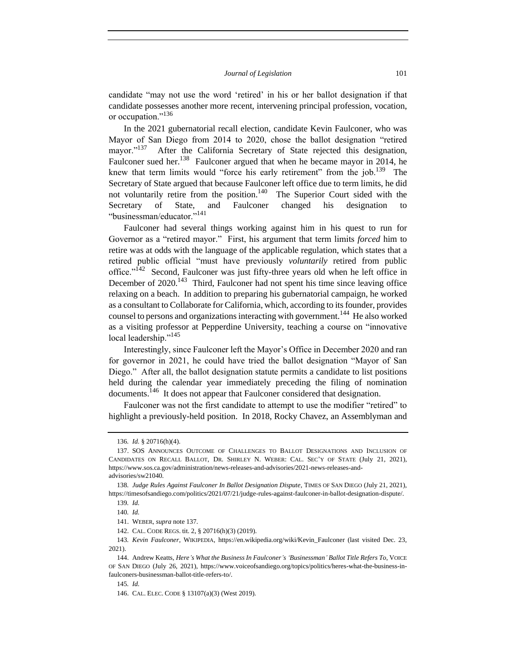candidate "may not use the word 'retired' in his or her ballot designation if that candidate possesses another more recent, intervening principal profession, vocation, or occupation."<sup>136</sup>

In the 2021 gubernatorial recall election, candidate Kevin Faulconer, who was Mayor of San Diego from 2014 to 2020, chose the ballot designation "retired mayor."<sup>137</sup> After the California Secretary of State rejected this designation, Faulconer sued her.<sup>138</sup> Faulconer argued that when he became mayor in 2014, he knew that term limits would "force his early retirement" from the job.<sup>139</sup> The Secretary of State argued that because Faulconer left office due to term limits, he did not voluntarily retire from the position.<sup>140</sup> The Superior Court sided with the Secretary of State, and Faulconer changed his designation to "businessman/educator."<sup>141</sup>

Faulconer had several things working against him in his quest to run for Governor as a "retired mayor." First, his argument that term limits *forced* him to retire was at odds with the language of the applicable regulation, which states that a retired public official "must have previously *voluntarily* retired from public office."<sup> $142$ </sup> Second, Faulconer was just fifty-three years old when he left office in December of 2020.<sup>143</sup> Third, Faulconer had not spent his time since leaving office relaxing on a beach. In addition to preparing his gubernatorial campaign, he worked as a consultant to Collaborate for California, which, according to its founder, provides counsel to persons and organizations interacting with government.<sup>144</sup> He also worked as a visiting professor at Pepperdine University, teaching a course on "innovative local leadership."<sup>145</sup>

Interestingly, since Faulconer left the Mayor's Office in December 2020 and ran for governor in 2021, he could have tried the ballot designation "Mayor of San Diego." After all, the ballot designation statute permits a candidate to list positions held during the calendar year immediately preceding the filing of nomination documents.<sup>146</sup> It does not appear that Faulconer considered that designation.

Faulconer was not the first candidate to attempt to use the modifier "retired" to highlight a previously-held position. In 2018, Rocky Chavez, an Assemblyman and

145*. Id.*

<sup>136</sup>*. Id.* § 20716(h)(4).

<sup>137.</sup> SOS ANNOUNCES OUTCOME OF CHALLENGES TO BALLOT DESIGNATIONS AND INCLUSION OF CANDIDATES ON RECALL BALLOT, DR. SHIRLEY N. WEBER: CAL. SEC'Y OF STATE (July 21, 2021), https://www.sos.ca.gov/administration/news-releases-and-advisories/2021-news-releases-andadvisories/sw21040*.*

<sup>138</sup>*. Judge Rules Against Faulconer In Ballot Designation Dispute*, TIMES OF SAN DIEGO (July 21, 2021), https://timesofsandiego.com/politics/2021/07/21/judge-rules-against-faulconer-in-ballot-designation-dispute/.

<sup>139</sup>*. Id.*

<sup>140</sup>*. Id.*

<sup>141.</sup> WEBER, *supra* note 137.

<sup>142.</sup> CAL. CODE REGS. tit. 2, § 20716(h)(3) (2019).

<sup>143</sup>*. Kevin Faulconer*, WIKIPEDIA, https://en.wikipedia.org/wiki/Kevin\_Faulconer (last visited Dec. 23, 2021).

<sup>144.</sup> Andrew Keatts, *Here's What the Business In Faulconer's 'Businessman' Ballot Title Refers To*, VOICE OF SAN DIEGO (July 26, 2021), https://www.voiceofsandiego.org/topics/politics/heres-what-the-business-infaulconers-businessman-ballot-title-refers-to/.

<sup>146.</sup> CAL. ELEC. CODE § 13107(a)(3) (West 2019).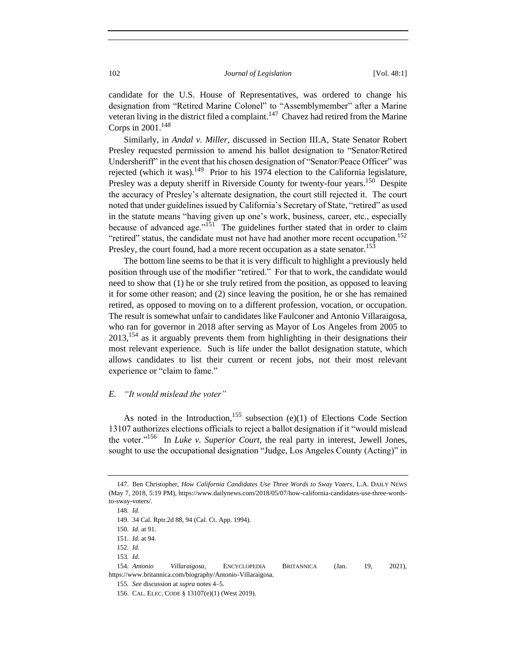candidate for the U.S. House of Representatives, was ordered to change his designation from "Retired Marine Colonel" to "Assemblymember" after a Marine veteran living in the district filed a complaint.<sup>147</sup> Chavez had retired from the Marine Corps in  $2001$ .<sup>148</sup>

Similarly, in *Andal v. Miller*, discussed in Section III.A, State Senator Robert Presley requested permission to amend his ballot designation to "Senator/Retired Undersheriff" in the event that his chosen designation of "Senator/Peace Officer" was rejected (which it was).<sup>149</sup> Prior to his 1974 election to the California legislature, Presley was a deputy sheriff in Riverside County for twenty-four years.<sup>150</sup> Despite the accuracy of Presley's alternate designation, the court still rejected it. The court noted that under guidelines issued by California's Secretary of State, "retired" as used in the statute means "having given up one's work, business, career, etc., especially because of advanced age."<sup>151</sup> The guidelines further stated that in order to claim "retired" status, the candidate must not have had another more recent occupation.<sup>152</sup> Presley, the court found, had a more recent occupation as a state senator.<sup>153</sup>

The bottom line seems to be that it is very difficult to highlight a previously held position through use of the modifier "retired." For that to work, the candidate would need to show that (1) he or she truly retired from the position, as opposed to leaving it for some other reason; and (2) since leaving the position, he or she has remained retired, as opposed to moving on to a different profession, vocation, or occupation. The result is somewhat unfair to candidates like Faulconer and Antonio Villaraigosa, who ran for governor in 2018 after serving as Mayor of Los Angeles from 2005 to  $2013$ ,  $^{154}$  as it arguably prevents them from highlighting in their designations their most relevant experience. Such is life under the ballot designation statute, which allows candidates to list their current or recent jobs, not their most relevant experience or "claim to fame."

## *E. "It would mislead the voter"*

As noted in the Introduction,  $155$  subsection (e)(1) of Elections Code Section 13107 authorizes elections officials to reject a ballot designation if it "would mislead the voter."<sup>156</sup> In *Luke v. Superior Court*, the real party in interest, Jewell Jones, sought to use the occupational designation "Judge, Los Angeles County (Acting)" in

<sup>147.</sup> Ben Christopher, *How California Candidates Use Three Words to Sway Voters*, L.A. DAILY NEWS (May 7, 2018, 5:19 PM), https://www.dailynews.com/2018/05/07/how-california-candidates-use-three-wordsto-sway-voters/.

<sup>148</sup>*. Id.*

<sup>149.</sup> 34 Cal. Rptr.2d 88, 94 (Cal. Ct. App. 1994).

<sup>150</sup>*. Id.* at 91.

<sup>151</sup>*. Id.* at 94.

<sup>152</sup>*. Id.*

<sup>153</sup>*. Id.*

<sup>154</sup>*. Antonio Villaraigosa*, ENCYCLOPEDIA BRITANNICA (Jan. 19, 2021), https://www.britannica.com/biography/Antonio-Villaraigosa.

<sup>155</sup>*. See* discussion at *supra* notes 4–5.

<sup>156.</sup> CAL. ELEC. CODE § 13107(e)(1) (West 2019).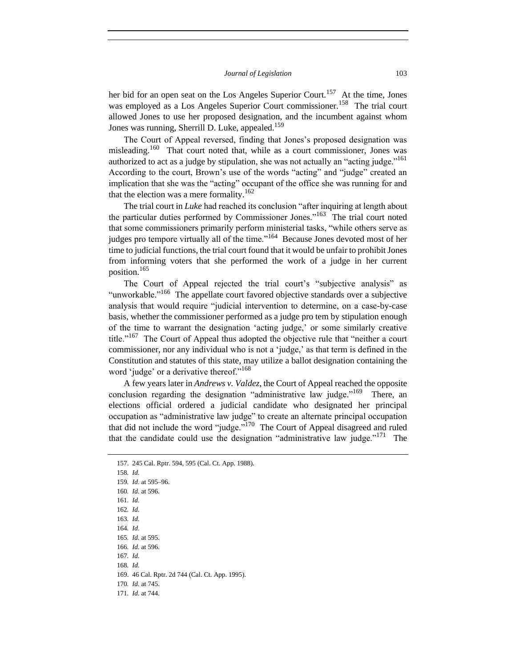her bid for an open seat on the Los Angeles Superior Court.<sup>157</sup> At the time, Jones was employed as a Los Angeles Superior Court commissioner.<sup>158</sup> The trial court allowed Jones to use her proposed designation, and the incumbent against whom Jones was running, Sherrill D. Luke, appealed.<sup>159</sup>

The Court of Appeal reversed, finding that Jones's proposed designation was misleading.<sup>160</sup> That court noted that, while as a court commissioner, Jones was authorized to act as a judge by stipulation, she was not actually an "acting judge."<sup>161</sup> According to the court, Brown's use of the words "acting" and "judge" created an implication that she was the "acting" occupant of the office she was running for and that the election was a mere formality.<sup>162</sup>

The trial court in *Luke* had reached its conclusion "after inquiring at length about the particular duties performed by Commissioner Jones."<sup>163</sup> The trial court noted that some commissioners primarily perform ministerial tasks, "while others serve as judges pro tempore virtually all of the time."<sup>164</sup> Because Jones devoted most of her time to judicial functions, the trial court found that it would be unfair to prohibit Jones from informing voters that she performed the work of a judge in her current position.<sup>165</sup>

The Court of Appeal rejected the trial court's "subjective analysis" as "unworkable."<sup>166</sup> The appellate court favored objective standards over a subjective analysis that would require "judicial intervention to determine, on a case-by-case basis, whether the commissioner performed as a judge pro tem by stipulation enough of the time to warrant the designation 'acting judge,' or some similarly creative title."<sup>167</sup> The Court of Appeal thus adopted the objective rule that "neither a court commissioner, nor any individual who is not a 'judge,' as that term is defined in the Constitution and statutes of this state, may utilize a ballot designation containing the word 'judge' or a derivative thereof."<sup>168</sup>

A few years later in *Andrews v. Valdez*, the Court of Appeal reached the opposite conclusion regarding the designation "administrative law judge."<sup>169</sup> There, an elections official ordered a judicial candidate who designated her principal occupation as "administrative law judge" to create an alternate principal occupation that did not include the word "judge."<sup>170</sup> The Court of Appeal disagreed and ruled that the candidate could use the designation "administrative law judge."<sup>171</sup> The

158*. Id.* 159*. Id.* at 595–96. 160*. Id.* at 596.

161*. Id.*

162*. Id.*

163*. Id.*

164*. Id.*

165*. Id.* at 595.

166*. Id.* at 596.

167*. Id.*

168*. Id.*

169. 46 Cal. Rptr. 2d 744 (Cal. Ct. App. 1995).

170*. Id.* at 745.

171*. Id.* at 744.

<sup>157.</sup> 245 Cal. Rptr. 594, 595 (Cal. Ct. App. 1988).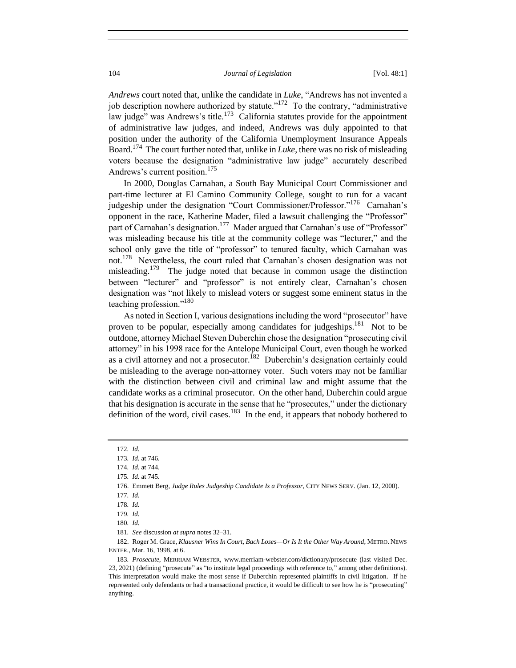*Andrews* court noted that, unlike the candidate in *Luke*, "Andrews has not invented a job description nowhere authorized by statute."<sup>172</sup> To the contrary, "administrative law judge" was Andrews's title.<sup>173</sup> California statutes provide for the appointment of administrative law judges, and indeed, Andrews was duly appointed to that position under the authority of the California Unemployment Insurance Appeals Board.<sup>174</sup> The court further noted that, unlike in *Luke*, there was no risk of misleading voters because the designation "administrative law judge" accurately described Andrews's current position.<sup>175</sup>

In 2000, Douglas Carnahan, a South Bay Municipal Court Commissioner and part-time lecturer at El Camino Community College, sought to run for a vacant judgeship under the designation "Court Commissioner/Professor."<sup>176</sup> Carnahan's opponent in the race, Katherine Mader, filed a lawsuit challenging the "Professor" part of Carnahan's designation.<sup>177</sup> Mader argued that Carnahan's use of "Professor" was misleading because his title at the community college was "lecturer," and the school only gave the title of "professor" to tenured faculty, which Carnahan was not.<sup>178</sup> Nevertheless, the court ruled that Carnahan's chosen designation was not misleading.<sup>179</sup> The judge noted that because in common usage the distinction between "lecturer" and "professor" is not entirely clear, Carnahan's chosen designation was "not likely to mislead voters or suggest some eminent status in the teaching profession."<sup>180</sup>

As noted in Section I, various designations including the word "prosecutor" have proven to be popular, especially among candidates for judgeships.<sup>181</sup> Not to be outdone, attorney Michael Steven Duberchin chose the designation "prosecuting civil attorney" in his 1998 race for the Antelope Municipal Court, even though he worked as a civil attorney and not a prosecutor.<sup>182</sup> Duberchin's designation certainly could be misleading to the average non-attorney voter. Such voters may not be familiar with the distinction between civil and criminal law and might assume that the candidate works as a criminal prosecutor. On the other hand, Duberchin could argue that his designation is accurate in the sense that he "prosecutes," under the dictionary definition of the word, civil cases. $^{183}$  In the end, it appears that nobody bothered to

182. Roger M. Grace, *Klausner Wins In Court, Bach Loses—Or Is It the Other Way Around*, METRO. NEWS ENTER., Mar. 16, 1998, at 6.

<sup>172</sup>*. Id.*

<sup>173</sup>*. Id.* at 746.

<sup>174</sup>*. Id.* at 744.

<sup>175</sup>*. Id.* at 745.

<sup>176.</sup> Emmett Berg, *Judge Rules Judgeship Candidate Is a Professor*, CITY NEWS SERV. (Jan. 12, 2000).

<sup>177</sup>*. Id.*

<sup>178</sup>*. Id.*

<sup>179</sup>*. Id.*

<sup>180</sup>*. Id.*

<sup>181</sup>*. See* discussion *at supra* notes 32–31.

<sup>183</sup>*. Prosecute*, MERRIAM WEBSTER, www.merriam-webster.com/dictionary/prosecute (last visited Dec. 23, 2021) (defining "prosecute" as "to institute legal proceedings with reference to," among other definitions). This interpretation would make the most sense if Duberchin represented plaintiffs in civil litigation. If he represented only defendants or had a transactional practice, it would be difficult to see how he is "prosecuting" anything.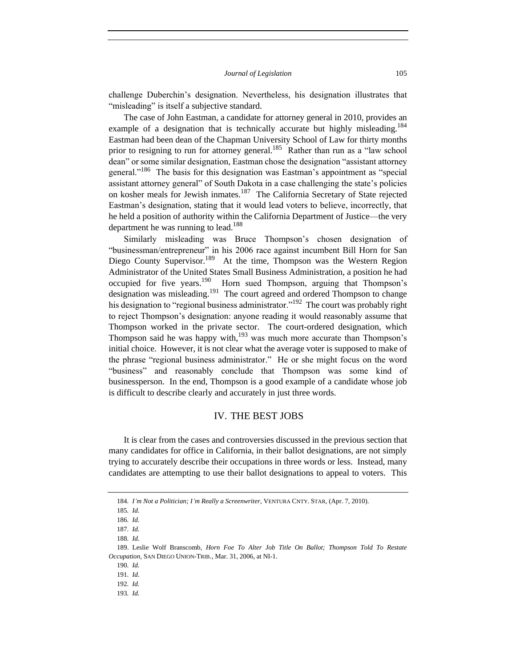challenge Duberchin's designation. Nevertheless, his designation illustrates that "misleading" is itself a subjective standard.

The case of John Eastman, a candidate for attorney general in 2010, provides an example of a designation that is technically accurate but highly misleading.<sup>184</sup> Eastman had been dean of the Chapman University School of Law for thirty months prior to resigning to run for attorney general.<sup>185</sup> Rather than run as a "law school dean" or some similar designation, Eastman chose the designation "assistant attorney general."<sup>186</sup> The basis for this designation was Eastman's appointment as "special assistant attorney general" of South Dakota in a case challenging the state's policies on kosher meals for Jewish inmates.<sup>187</sup> The California Secretary of State rejected Eastman's designation, stating that it would lead voters to believe, incorrectly, that he held a position of authority within the California Department of Justice—the very department he was running to lead.<sup>188</sup>

Similarly misleading was Bruce Thompson's chosen designation of "businessman/entrepreneur" in his 2006 race against incumbent Bill Horn for San Diego County Supervisor.<sup>189</sup> At the time, Thompson was the Western Region Administrator of the United States Small Business Administration, a position he had occupied for five years.<sup>190</sup> Horn sued Thompson, arguing that Thompson's designation was misleading.<sup>191</sup> The court agreed and ordered Thompson to change his designation to "regional business administrator."<sup>192</sup> The court was probably right to reject Thompson's designation: anyone reading it would reasonably assume that Thompson worked in the private sector. The court-ordered designation, which Thompson said he was happy with, $193$  was much more accurate than Thompson's initial choice. However, it is not clear what the average voter is supposed to make of the phrase "regional business administrator." He or she might focus on the word "business" and reasonably conclude that Thompson was some kind of businessperson. In the end, Thompson is a good example of a candidate whose job is difficult to describe clearly and accurately in just three words.

## IV. THE BEST JOBS

It is clear from the cases and controversies discussed in the previous section that many candidates for office in California, in their ballot designations, are not simply trying to accurately describe their occupations in three words or less. Instead, many candidates are attempting to use their ballot designations to appeal to voters. This

<sup>184</sup>*. I'm Not a Politician; I'm Really a Screenwriter*, VENTURA CNTY. STAR, (Apr. 7, 2010).

<sup>185</sup>*. Id.*

<sup>186</sup>*. Id.*

<sup>187</sup>*. Id.*

<sup>188</sup>*. Id.*

<sup>189.</sup> Leslie Wolf Branscomb, *Horn Foe To Alter Job Title On Ballot; Thompson Told To Restate Occupation*, SAN DIEGO UNION-TRIB., Mar. 31, 2006, at NI-1.

<sup>190</sup>*. Id.*

<sup>191</sup>*. Id.*

<sup>192</sup>*. Id.*

<sup>193</sup>*. Id.*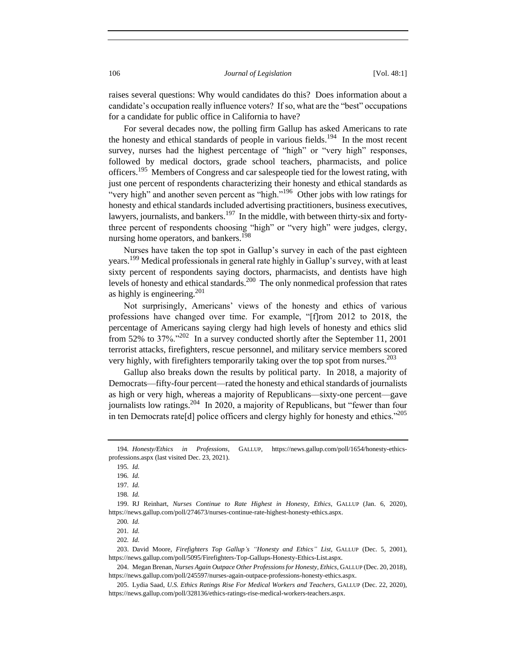raises several questions: Why would candidates do this? Does information about a candidate's occupation really influence voters? If so, what are the "best" occupations for a candidate for public office in California to have?

For several decades now, the polling firm Gallup has asked Americans to rate the honesty and ethical standards of people in various fields.<sup>194</sup> In the most recent survey, nurses had the highest percentage of "high" or "very high" responses, followed by medical doctors, grade school teachers, pharmacists, and police officers.<sup>195</sup> Members of Congress and car salespeople tied for the lowest rating, with just one percent of respondents characterizing their honesty and ethical standards as "very high" and another seven percent as "high."<sup>196</sup> Other jobs with low ratings for honesty and ethical standards included advertising practitioners, business executives, lawyers, journalists, and bankers.<sup>197</sup> In the middle, with between thirty-six and fortythree percent of respondents choosing "high" or "very high" were judges, clergy, nursing home operators, and bankers.<sup>198</sup>

Nurses have taken the top spot in Gallup's survey in each of the past eighteen years.<sup>199</sup> Medical professionals in general rate highly in Gallup's survey, with at least sixty percent of respondents saying doctors, pharmacists, and dentists have high levels of honesty and ethical standards.<sup>200</sup> The only nonmedical profession that rates as highly is engineering. $201$ 

Not surprisingly, Americans' views of the honesty and ethics of various professions have changed over time. For example, "[f]rom 2012 to 2018, the percentage of Americans saying clergy had high levels of honesty and ethics slid from 52% to 37%."<sup>202</sup> In a survey conducted shortly after the September 11, 2001 terrorist attacks, firefighters, rescue personnel, and military service members scored very highly, with firefighters temporarily taking over the top spot from nurses.<sup>203</sup>

Gallup also breaks down the results by political party. In 2018, a majority of Democrats—fifty-four percent—rated the honesty and ethical standards of journalists as high or very high, whereas a majority of Republicans—sixty-one percent—gave journalists low ratings.<sup>204</sup> In 2020, a majority of Republicans, but "fewer than four in ten Democrats rate<sup>[d]</sup> police officers and clergy highly for honesty and ethics.<sup> $205$ </sup>

<sup>194</sup>*. Honesty/Ethics in Professions*, GALLUP, https://news.gallup.com/poll/1654/honesty-ethicsprofessions.aspx (last visited Dec. 23, 2021).

<sup>195</sup>*. Id.*

<sup>196</sup>*. Id.*

<sup>197</sup>*. Id.*

<sup>198</sup>*. Id.*

<sup>199.</sup> RJ Reinhart, *Nurses Continue to Rate Highest in Honesty, Ethics*, GALLUP (Jan. 6, 2020), https://news.gallup.com/poll/274673/nurses-continue-rate-highest-honesty-ethics.aspx.

<sup>200</sup>*. Id.*

<sup>201</sup>*. Id.*

<sup>202</sup>*. Id.*

<sup>203.</sup> David Moore, *Firefighters Top Gallup's "Honesty and Ethics" List*, GALLUP (Dec. 5, 2001), https://news.gallup.com/poll/5095/Firefighters-Top-Gallups-Honesty-Ethics-List.aspx.

<sup>204.</sup> Megan Brenan, *Nurses Again Outpace Other Professions for Honesty, Ethics*, GALLUP (Dec. 20, 2018), https://news.gallup.com/poll/245597/nurses-again-outpace-professions-honesty-ethics.aspx.

<sup>205.</sup> Lydia Saad, *U.S. Ethics Ratings Rise For Medical Workers and Teachers*, GALLUP (Dec. 22, 2020), https://news.gallup.com/poll/328136/ethics-ratings-rise-medical-workers-teachers.aspx.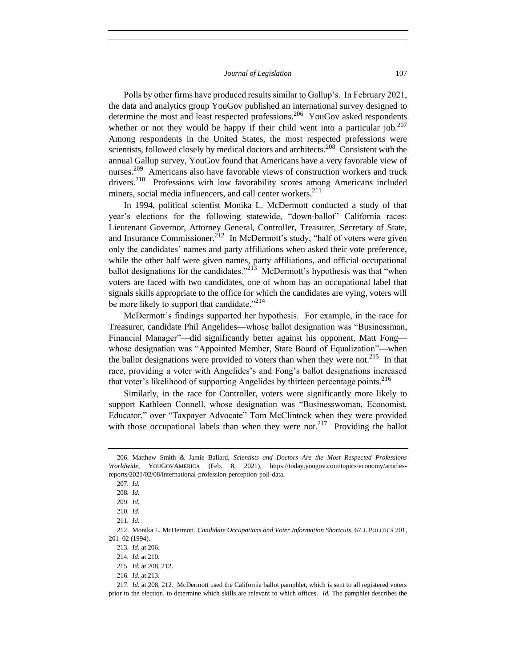Polls by other firms have produced results similar to Gallup's. In February 2021, the data and analytics group YouGov published an international survey designed to determine the most and least respected professions.<sup>206</sup> YouGov asked respondents whether or not they would be happy if their child went into a particular job.<sup>207</sup> Among respondents in the United States, the most respected professions were scientists, followed closely by medical doctors and architects.<sup>208</sup> Consistent with the annual Gallup survey, YouGov found that Americans have a very favorable view of nurses.<sup>209</sup> Americans also have favorable views of construction workers and truck drivers.<sup>210</sup> Professions with low favorability scores among Americans included miners, social media influencers, and call center workers.<sup>211</sup>

In 1994, political scientist Monika L. McDermott conducted a study of that year's elections for the following statewide, "down-ballot" California races: Lieutenant Governor, Attorney General, Controller, Treasurer, Secretary of State, and Insurance Commissioner.<sup>212</sup> In McDermott's study, "half of voters were given only the candidates' names and party affiliations when asked their vote preference, while the other half were given names, party affiliations, and official occupational ballot designations for the candidates."<sup>213</sup> McDermott's hypothesis was that "when voters are faced with two candidates, one of whom has an occupational label that signals skills appropriate to the office for which the candidates are vying, voters will be more likely to support that candidate."<sup>214</sup>

McDermott's findings supported her hypothesis. For example, in the race for Treasurer, candidate Phil Angelides—whose ballot designation was "Businessman, Financial Manager"—did significantly better against his opponent, Matt Fong whose designation was "Appointed Member, State Board of Equalization"—when the ballot designations were provided to voters than when they were not.<sup>215</sup> In that race, providing a voter with Angelides's and Fong's ballot designations increased that voter's likelihood of supporting Angelides by thirteen percentage points.<sup>216</sup>

Similarly, in the race for Controller, voters were significantly more likely to support Kathleen Connell, whose designation was "Businesswoman, Economist, Educator," over "Taxpayer Advocate" Tom McClintock when they were provided with those occupational labels than when they were not.<sup>217</sup> Providing the ballot

<sup>206.</sup> Matthew Smith & Jamie Ballard, *Scientists and Doctors Are the Most Respected Professions Worldwide*, YOUGOVAMERICA (Feb. 8, 2021), https://today.yougov.com/topics/economy/articlesreports/2021/02/08/international-profession-perception-poll-data.

<sup>207</sup>*. Id.*

<sup>208</sup>*. Id.*

<sup>209</sup>*. Id.*

<sup>210</sup>*. Id.*

<sup>211</sup>*. Id.*

<sup>212.</sup> Monika L. McDermott, *Candidate Occupations and Voter Information Shortcuts*, 67 J. POLITICS 201, 201–02 (1994).

<sup>213</sup>*. Id.* at 206.

<sup>214</sup>*. Id.* at 210.

<sup>215</sup>*. Id.* at 208, 212.

<sup>216</sup>*. Id.* at 213.

<sup>217</sup>*. Id.* at 208, 212.McDermott used the California ballot pamphlet, which is sent to all registered voters prior to the election, to determine which skills are relevant to which offices. *Id.* The pamphlet describes the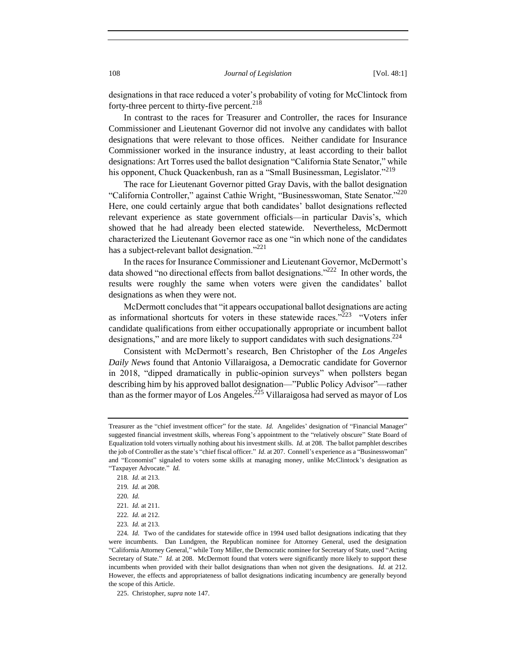designations in that race reduced a voter's probability of voting for McClintock from forty-three percent to thirty-five percent. $218$ 

In contrast to the races for Treasurer and Controller, the races for Insurance Commissioner and Lieutenant Governor did not involve any candidates with ballot designations that were relevant to those offices. Neither candidate for Insurance Commissioner worked in the insurance industry, at least according to their ballot designations: Art Torres used the ballot designation "California State Senator," while his opponent, Chuck Quackenbush, ran as a "Small Businessman, Legislator."<sup>219</sup>

The race for Lieutenant Governor pitted Gray Davis, with the ballot designation "California Controller," against Cathie Wright, "Businesswoman, State Senator."<sup>220</sup> Here, one could certainly argue that both candidates' ballot designations reflected relevant experience as state government officials—in particular Davis's, which showed that he had already been elected statewide. Nevertheless, McDermott characterized the Lieutenant Governor race as one "in which none of the candidates has a subject-relevant ballot designation."<sup>221</sup>

In the races for Insurance Commissioner and Lieutenant Governor, McDermott's data showed "no directional effects from ballot designations."<sup>222</sup> In other words, the results were roughly the same when voters were given the candidates' ballot designations as when they were not.

McDermott concludes that "it appears occupational ballot designations are acting as informational shortcuts for voters in these statewide races."<sup>223</sup> "Voters infer candidate qualifications from either occupationally appropriate or incumbent ballot designations," and are more likely to support candidates with such designations.<sup>224</sup>

Consistent with McDermott's research, Ben Christopher of the *Los Angeles Daily News* found that Antonio Villaraigosa, a Democratic candidate for Governor in 2018, "dipped dramatically in public-opinion surveys" when pollsters began describing him by his approved ballot designation—"Public Policy Advisor"—rather than as the former mayor of Los Angeles.<sup>225</sup> Villaraigosa had served as mayor of Los

Treasurer as the "chief investment officer" for the state. *Id.* Angelides' designation of "Financial Manager" suggested financial investment skills, whereas Fong's appointment to the "relatively obscure" State Board of Equalization told voters virtually nothing about his investment skills. *Id.* at 208. The ballot pamphlet describes the job of Controller as the state's "chief fiscal officer." *Id.* at 207. Connell's experience as a "Businesswoman" and "Economist" signaled to voters some skills at managing money, unlike McClintock's designation as "Taxpayer Advocate." *Id.*

<sup>218</sup>*. Id.* at 213.

<sup>219</sup>*. Id.* at 208.

<sup>220</sup>*. Id.*

<sup>221</sup>*. Id.* at 211.

<sup>222</sup>*. Id.* at 212.

<sup>223</sup>*. Id.* at 213.

<sup>224</sup>*. Id.* Two of the candidates for statewide office in 1994 used ballot designations indicating that they were incumbents. Dan Lundgren, the Republican nominee for Attorney General, used the designation "California Attorney General," while Tony Miller, the Democratic nominee for Secretary of State, used "Acting Secretary of State." *Id.* at 208. McDermott found that voters were significantly more likely to support these incumbents when provided with their ballot designations than when not given the designations. *Id.* at 212. However, the effects and appropriateness of ballot designations indicating incumbency are generally beyond the scope of this Article.

<sup>225.</sup> Christopher, *supra* note 147.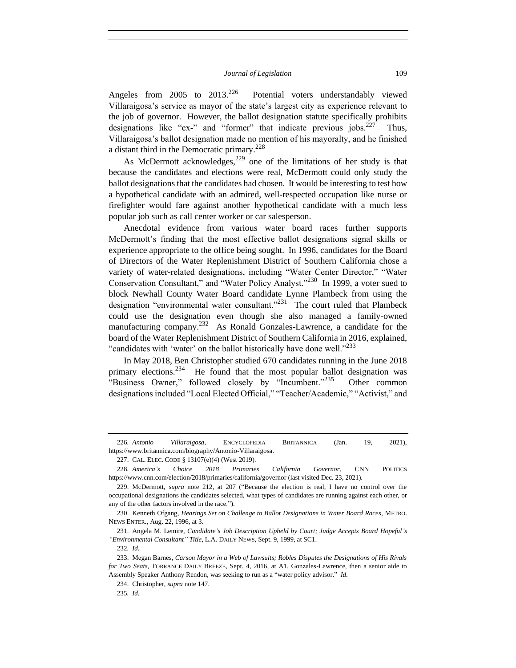Angeles from  $2005$  to  $2013.<sup>226</sup>$  Potential voters understandably viewed Villaraigosa's service as mayor of the state's largest city as experience relevant to the job of governor. However, the ballot designation statute specifically prohibits designations like "ex-" and "former" that indicate previous jobs.<sup>227</sup> Thus, Villaraigosa's ballot designation made no mention of his mayoralty, and he finished a distant third in the Democratic primary.<sup>228</sup>

As McDermott acknowledges,<sup>229</sup> one of the limitations of her study is that because the candidates and elections were real, McDermott could only study the ballot designations that the candidates had chosen. It would be interesting to test how a hypothetical candidate with an admired, well-respected occupation like nurse or firefighter would fare against another hypothetical candidate with a much less popular job such as call center worker or car salesperson.

Anecdotal evidence from various water board races further supports McDermott's finding that the most effective ballot designations signal skills or experience appropriate to the office being sought. In 1996, candidates for the Board of Directors of the Water Replenishment District of Southern California chose a variety of water-related designations, including "Water Center Director," "Water Conservation Consultant," and "Water Policy Analyst."<sup>230</sup> In 1999, a voter sued to block Newhall County Water Board candidate Lynne Plambeck from using the designation "environmental water consultant."<sup>231</sup> The court ruled that Plambeck could use the designation even though she also managed a family-owned manufacturing company.<sup>232</sup> As Ronald Gonzales-Lawrence, a candidate for the board of the Water Replenishment District of Southern California in 2016, explained, "candidates with 'water' on the ballot historically have done well."<sup>233</sup>

In May 2018, Ben Christopher studied 670 candidates running in the June 2018 primary elections.<sup>234</sup> He found that the most popular ballot designation was "Business Owner," followed closely by "Incumbent."<sup>235</sup> Other common designations included "Local Elected Official," "Teacher/Academic," "Activist," and

<sup>226</sup>*. Antonio Villaraigosa*, ENCYCLOPEDIA BRITANNICA (Jan. 19, 2021), https://www.britannica.com/biography/Antonio-Villaraigosa.

<sup>227.</sup> CAL. ELEC. CODE § 13107(e)(4) (West 2019).

<sup>228</sup>*. America's Choice 2018 Primaries California Governor*, CNN POLITICS https://www.cnn.com/election/2018/primaries/california/governor (last visited Dec. 23, 2021).

<sup>229.</sup> McDermott, *supra* note 212, at 207 ("Because the election is real, I have no control over the occupational designations the candidates selected, what types of candidates are running against each other, or any of the other factors involved in the race.").

<sup>230.</sup> Kenneth Ofgang, *Hearings Set on Challenge to Ballot Designations in Water Board Races*, METRO. NEWS ENTER., Aug. 22, 1996, at 3.

<sup>231.</sup> Angela M. Lemire, *Candidate's Job Description Upheld by Court; Judge Accepts Board Hopeful's "Environmental Consultant" Title*, L.A. DAILY NEWS, Sept. 9, 1999, at SC1.

<sup>232</sup>*. Id.*

<sup>233.</sup> Megan Barnes, *Carson Mayor in a Web of Lawsuits; Robles Disputes the Designations of His Rivals for Two Seats*, TORRANCE DAILY BREEZE, Sept. 4, 2016, at A1. Gonzales-Lawrence, then a senior aide to Assembly Speaker Anthony Rendon, was seeking to run as a "water policy advisor." *Id.*

<sup>234.</sup> Christopher, *supra* note 147.

<sup>235</sup>*. Id.*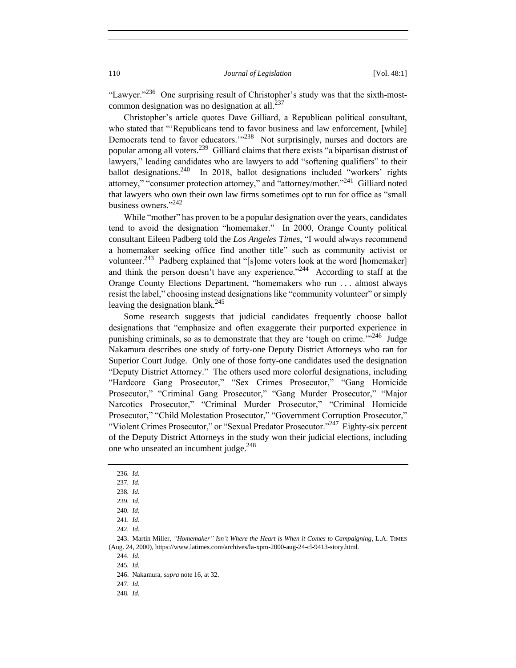"Lawyer."<sup>236</sup> One surprising result of Christopher's study was that the sixth-mostcommon designation was no designation at all. $^{237}$ 

Christopher's article quotes Dave Gilliard, a Republican political consultant, who stated that "'Republicans tend to favor business and law enforcement, [while] Democrats tend to favor educators."<sup>238</sup> Not surprisingly, nurses and doctors are popular among all voters.<sup>239</sup> Gilliard claims that there exists "a bipartisan distrust of lawyers," leading candidates who are lawyers to add "softening qualifiers" to their ballot designations.<sup>240</sup> In 2018, ballot designations included "workers' rights attorney," "consumer protection attorney," and "attorney/mother."<sup>241</sup> Gilliard noted that lawyers who own their own law firms sometimes opt to run for office as "small business owners."<sup>242</sup>

While "mother" has proven to be a popular designation over the years, candidates tend to avoid the designation "homemaker." In 2000, Orange County political consultant Eileen Padberg told the *Los Angeles Times*, "I would always recommend a homemaker seeking office find another title" such as community activist or volunteer.<sup>243</sup> Padberg explained that "[s]ome voters look at the word [homemaker] and think the person doesn't have any experience."<sup>244</sup> According to staff at the Orange County Elections Department, "homemakers who run . . . almost always resist the label," choosing instead designations like "community volunteer" or simply leaving the designation blank. $^{245}$ 

Some research suggests that judicial candidates frequently choose ballot designations that "emphasize and often exaggerate their purported experience in punishing criminals, so as to demonstrate that they are 'tough on crime."<sup>3246</sup> Judge Nakamura describes one study of forty-one Deputy District Attorneys who ran for Superior Court Judge. Only one of those forty-one candidates used the designation "Deputy District Attorney." The others used more colorful designations, including "Hardcore Gang Prosecutor," "Sex Crimes Prosecutor," "Gang Homicide Prosecutor," "Criminal Gang Prosecutor," "Gang Murder Prosecutor," "Major Narcotics Prosecutor," "Criminal Murder Prosecutor," "Criminal Homicide Prosecutor," "Child Molestation Prosecutor," "Government Corruption Prosecutor," "Violent Crimes Prosecutor," or "Sexual Predator Prosecutor."<sup>247</sup> Eighty-six percent of the Deputy District Attorneys in the study won their judicial elections, including one who unseated an incumbent judge.<sup>248</sup>

243. Martin Miller, *"Homemaker" Isn't Where the Heart is When it Comes to Campaigning*, L.A. TIMES (Aug. 24, 2000), https://www.latimes.com/archives/la-xpm-2000-aug-24-cl-9413-story.html.

244*. Id.*

245*. Id.*

246. Nakamura, *supra* note 16, at 32.

247*. Id.*

<sup>236</sup>*. Id.*

<sup>237</sup>*. Id.*

<sup>238</sup>*. Id.*

<sup>239</sup>*. Id.*

<sup>240</sup>*. Id.*

<sup>241</sup>*. Id.*

<sup>242</sup>*. Id.*

<sup>248</sup>*. Id.*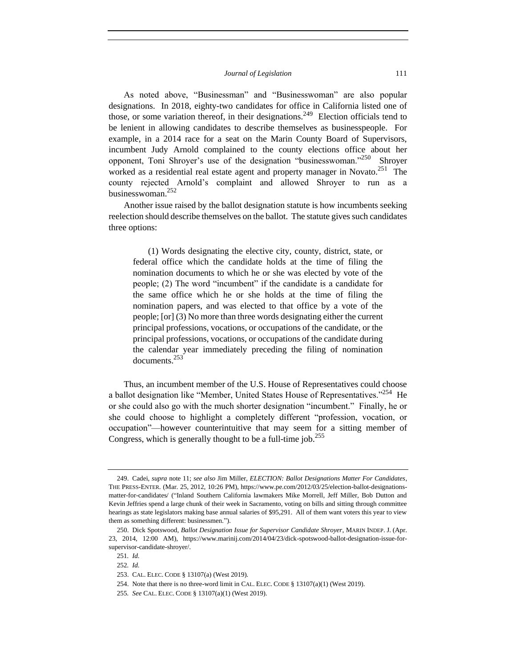As noted above, "Businessman" and "Businesswoman" are also popular designations. In 2018, eighty-two candidates for office in California listed one of those, or some variation thereof, in their designations.<sup>249</sup> Election officials tend to be lenient in allowing candidates to describe themselves as businesspeople. For example, in a 2014 race for a seat on the Marin County Board of Supervisors, incumbent Judy Arnold complained to the county elections office about her opponent, Toni Shroyer's use of the designation "businesswoman."<sup>250</sup> Shroyer worked as a residential real estate agent and property manager in Novato. $251$  The county rejected Arnold's complaint and allowed Shroyer to run as a businesswoman.<sup>252</sup>

Another issue raised by the ballot designation statute is how incumbents seeking reelection should describe themselves on the ballot. The statute gives such candidates three options:

(1) Words designating the elective city, county, district, state, or federal office which the candidate holds at the time of filing the nomination documents to which he or she was elected by vote of the people; (2) The word "incumbent" if the candidate is a candidate for the same office which he or she holds at the time of filing the nomination papers, and was elected to that office by a vote of the people; [or] (3) No more than three words designating either the current principal professions, vocations, or occupations of the candidate, or the principal professions, vocations, or occupations of the candidate during the calendar year immediately preceding the filing of nomination documents.<sup>253</sup>

Thus, an incumbent member of the U.S. House of Representatives could choose a ballot designation like "Member, United States House of Representatives."<sup>254</sup> He or she could also go with the much shorter designation "incumbent." Finally, he or she could choose to highlight a completely different "profession, vocation, or occupation"—however counterintuitive that may seem for a sitting member of Congress, which is generally thought to be a full-time job.<sup>255</sup>

<sup>249.</sup> Cadei, *supra* note 11; *see also* Jim Miller, *ELECTION: Ballot Designations Matter For Candidates*, THE PRESS-ENTER. (Mar. 25, 2012, 10:26 PM), https://www.pe.com/2012/03/25/election-ballot-designationsmatter-for-candidates/ ("Inland Southern California lawmakers Mike Morrell, Jeff Miller, Bob Dutton and Kevin Jeffries spend a large chunk of their week in Sacramento, voting on bills and sitting through committee hearings as state legislators making base annual salaries of \$95,291. All of them want voters this year to view them as something different: businessmen.").

<sup>250.</sup> Dick Spotswood, *Ballot Designation Issue for Supervisor Candidate Shroyer*, MARIN INDEP. J. (Apr. 23, 2014, 12:00 AM), https://www.marinij.com/2014/04/23/dick-spotswood-ballot-designation-issue-forsupervisor-candidate-shroyer/.

<sup>251</sup>*. Id.*

<sup>252</sup>*. Id.*

<sup>253.</sup> CAL. ELEC. CODE § 13107(a) (West 2019).

<sup>254.</sup> Note that there is no three-word limit in CAL. ELEC. CODE § 13107(a)(1) (West 2019).

<sup>255</sup>*. See* CAL. ELEC. CODE § 13107(a)(1) (West 2019).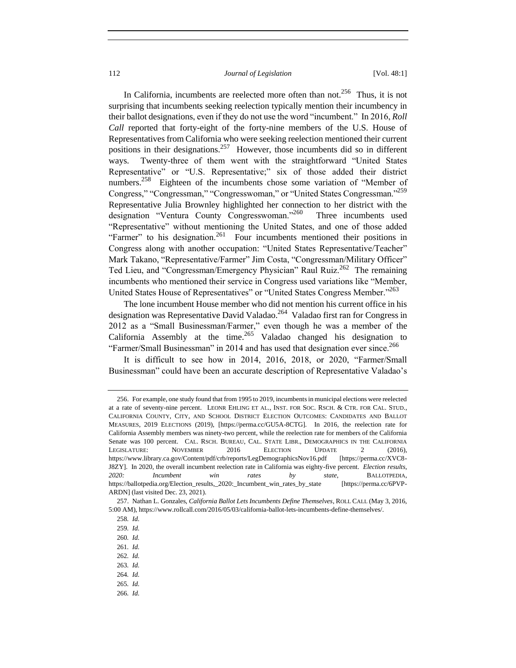In California, incumbents are reelected more often than not.<sup>256</sup> Thus, it is not surprising that incumbents seeking reelection typically mention their incumbency in their ballot designations, even if they do not use the word "incumbent." In 2016, *Roll Call* reported that forty-eight of the forty-nine members of the U.S. House of Representatives from California who were seeking reelection mentioned their current positions in their designations.<sup>257</sup> However, those incumbents did so in different ways. Twenty-three of them went with the straightforward "United States Representative" or "U.S. Representative;" six of those added their district numbers.<sup>258</sup> Eighteen of the incumbents chose some variation of "Member of Congress," "Congressman," "Congresswoman," or "United States Congressman."<sup>259</sup> Representative Julia Brownley highlighted her connection to her district with the designation "Ventura County Congresswoman."<sup>260</sup> Three incumbents used "Representative" without mentioning the United States, and one of those added "Farmer" to his designation.<sup>261</sup> Four incumbents mentioned their positions in Congress along with another occupation: "United States Representative/Teacher" Mark Takano, "Representative/Farmer" Jim Costa, "Congressman/Military Officer" Ted Lieu, and "Congressman/Emergency Physician" Raul Ruiz.<sup>262</sup> The remaining incumbents who mentioned their service in Congress used variations like "Member, United States House of Representatives" or "United States Congress Member."<sup>263</sup>

The lone incumbent House member who did not mention his current office in his designation was Representative David Valadao.<sup>264</sup> Valadao first ran for Congress in 2012 as a "Small Businessman/Farmer," even though he was a member of the California Assembly at the time.<sup>265</sup> Valadao changed his designation to "Farmer/Small Businessman" in 2014 and has used that designation ever since.<sup>266</sup>

It is difficult to see how in 2014, 2016, 2018, or 2020, "Farmer/Small Businessman" could have been an accurate description of Representative Valadao's

<sup>256.</sup> For example, one study found that from 1995 to 2019, incumbents in municipal elections were reelected at a rate of seventy-nine percent. LEONR EHLING ET AL., INST. FOR SOC. RSCH. & CTR. FOR CAL. STUD., CALIFORNIA COUNTY, CITY, AND SCHOOL DISTRICT ELECTION OUTCOMES: CANDIDATES AND BALLOT MEASURES, 2019 ELECTIONS (2019), [https://perma.cc/GU5A-8CTG]. In 2016, the reelection rate for California Assembly members was ninety-two percent, while the reelection rate for members of the California Senate was 100 percent. CAL. RSCH. BUREAU, CAL. STATE LIBR., DEMOGRAPHICS IN THE CALIFORNIA LEGISLATURE: NOVEMBER 2016 ELECTION UPDATE 2 (2016), https://www.library.ca.gov/Content/pdf/crb/reports/LegDemographicsNov16.pdf [https://perma.cc/XVC8- J8ZY]. In 2020, the overall incumbent reelection rate in California was eighty-five percent. *Election results, 2020: Incumbent win rates by state*, BALLOTPEDIA, https://ballotpedia.org/Election\_results,\_2020:\_Incumbent\_win\_rates\_by\_state [https://perma.cc/6PVP-ARDN] (last visited Dec. 23, 2021).

<sup>257.</sup> Nathan L. Gonzales, *California Ballot Lets Incumbents Define Themselves*, ROLL CALL (May 3, 2016, 5:00 AM), https://www.rollcall.com/2016/05/03/california-ballot-lets-incumbents-define-themselves/.

<sup>258</sup>*. Id.*

<sup>259</sup>*. Id.*

<sup>260</sup>*. Id.*

<sup>261</sup>*. Id.*

<sup>262</sup>*. Id.*

<sup>263</sup>*. Id.*

<sup>264</sup>*. Id.*

<sup>265</sup>*. Id.*

<sup>266</sup>*. Id.*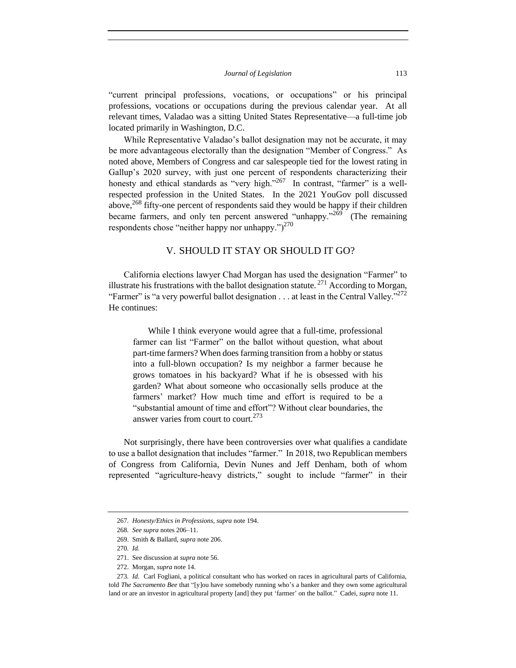"current principal professions, vocations, or occupations" or his principal professions, vocations or occupations during the previous calendar year. At all relevant times, Valadao was a sitting United States Representative—a full-time job located primarily in Washington, D.C.

While Representative Valadao's ballot designation may not be accurate, it may be more advantageous electorally than the designation "Member of Congress." As noted above, Members of Congress and car salespeople tied for the lowest rating in Gallup's 2020 survey, with just one percent of respondents characterizing their honesty and ethical standards as "very high."<sup>267</sup> In contrast, "farmer" is a wellrespected profession in the United States. In the 2021 YouGov poll discussed above,  $^{268}$  fifty-one percent of respondents said they would be happy if their children became farmers, and only ten percent answered "unhappy."<sup>269</sup> (The remaining respondents chose "neither happy nor unhappy.") $^{270}$ 

# V. SHOULD IT STAY OR SHOULD IT GO?

California elections lawyer Chad Morgan has used the designation "Farmer" to illustrate his frustrations with the ballot designation statute.<sup>271</sup> According to Morgan, "Farmer" is "a very powerful ballot designation  $\dots$  at least in the Central Valley."<sup>272</sup> He continues:

While I think everyone would agree that a full-time, professional farmer can list "Farmer" on the ballot without question, what about part-time farmers? When does farming transition from a hobby or status into a full-blown occupation? Is my neighbor a farmer because he grows tomatoes in his backyard? What if he is obsessed with his garden? What about someone who occasionally sells produce at the farmers' market? How much time and effort is required to be a "substantial amount of time and effort"? Without clear boundaries, the answer varies from court to court.<sup>273</sup>

Not surprisingly, there have been controversies over what qualifies a candidate to use a ballot designation that includes "farmer." In 2018, two Republican members of Congress from California, Devin Nunes and Jeff Denham, both of whom represented "agriculture-heavy districts," sought to include "farmer" in their

<sup>267</sup>*. Honesty/Ethics in Professions*, *supra* note 194.

<sup>268</sup>*. See supra* notes 206–11.

<sup>269.</sup> Smith & Ballard, *supra* note 206.

<sup>270</sup>*. Id.*

<sup>271.</sup> See discussion at *supra* note 56.

<sup>272.</sup> Morgan, *supra* note 14.

<sup>273</sup>*. Id.* Carl Fogliani, a political consultant who has worked on races in agricultural parts of California, told *The Sacramento Bee* that "[y]ou have somebody running who's a banker and they own some agricultural land or are an investor in agricultural property [and] they put 'farmer' on the ballot." Cadei, *supra* note 11.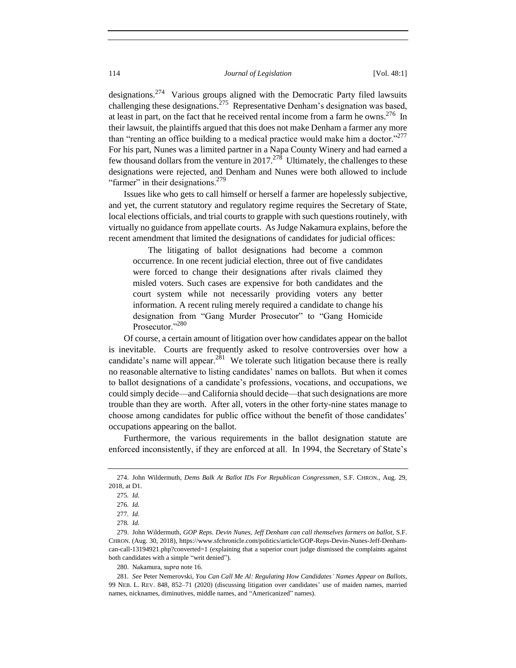designations.<sup>274</sup> Various groups aligned with the Democratic Party filed lawsuits challenging these designations.<sup>275</sup> Representative Denham's designation was based, at least in part, on the fact that he received rental income from a farm he owns.<sup>276</sup> In their lawsuit, the plaintiffs argued that this does not make Denham a farmer any more than "renting an office building to a medical practice would make him a doctor."<sup>277</sup> For his part, Nunes was a limited partner in a Napa County Winery and had earned a few thousand dollars from the venture in  $2017.<sup>278</sup>$  Ultimately, the challenges to these designations were rejected, and Denham and Nunes were both allowed to include "farmer" in their designations.<sup>279</sup>

Issues like who gets to call himself or herself a farmer are hopelessly subjective, and yet, the current statutory and regulatory regime requires the Secretary of State, local elections officials, and trial courts to grapple with such questions routinely, with virtually no guidance from appellate courts. As Judge Nakamura explains, before the recent amendment that limited the designations of candidates for judicial offices:

The litigating of ballot designations had become a common occurrence. In one recent judicial election, three out of five candidates were forced to change their designations after rivals claimed they misled voters. Such cases are expensive for both candidates and the court system while not necessarily providing voters any better information. A recent ruling merely required a candidate to change his designation from "Gang Murder Prosecutor" to "Gang Homicide Prosecutor."<sup>280</sup>

Of course, a certain amount of litigation over how candidates appear on the ballot is inevitable. Courts are frequently asked to resolve controversies over how a candidate's name will appear. $^{281}$  We tolerate such litigation because there is really no reasonable alternative to listing candidates' names on ballots. But when it comes to ballot designations of a candidate's professions, vocations, and occupations, we could simply decide—and California should decide—that such designations are more trouble than they are worth. After all, voters in the other forty-nine states manage to choose among candidates for public office without the benefit of those candidates' occupations appearing on the ballot.

Furthermore, the various requirements in the ballot designation statute are enforced inconsistently, if they are enforced at all. In 1994, the Secretary of State's

<sup>274.</sup> John Wildermuth, *Dems Balk At Ballot IDs For Republican Congressmen*, S.F. CHRON., Aug. 29, 2018, at D1.

<sup>275</sup>*. Id.*

<sup>276</sup>*. Id.*

<sup>277</sup>*. Id.*

<sup>278</sup>*. Id.*

<sup>279.</sup> John Wildermuth, *GOP Reps. Devin Nunes, Jeff Denham can call themselves farmers on ballot*, S.F. CHRON. (Aug. 30, 2018), https://www.sfchronicle.com/politics/article/GOP-Reps-Devin-Nunes-Jeff-Denhamcan-call-13194921.php?converted=1 (explaining that a superior court judge dismissed the complaints against both candidates with a simple "writ denied").

<sup>280.</sup> Nakamura, *supra* note 16.

<sup>281</sup>*. See* Peter Nemerovski, *You Can Call Me Al: Regulating How Candidates' Names Appear on Ballots*, 99 NEB. L. REV. 848, 852–71 (2020) (discussing litigation over candidates' use of maiden names, married names, nicknames, diminutives, middle names, and "Americanized" names).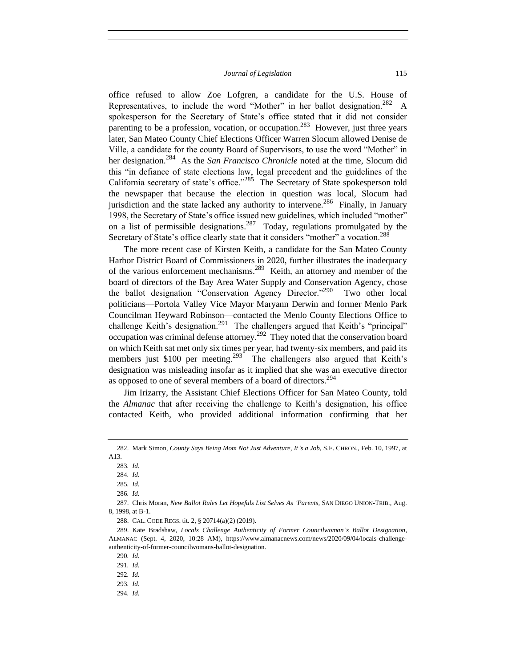office refused to allow Zoe Lofgren, a candidate for the U.S. House of Representatives, to include the word "Mother" in her ballot designation.<sup>282</sup> A spokesperson for the Secretary of State's office stated that it did not consider parenting to be a profession, vocation, or occupation.<sup>283</sup> However, just three years later, San Mateo County Chief Elections Officer Warren Slocum allowed Denise de Ville, a candidate for the county Board of Supervisors, to use the word "Mother" in her designation.<sup>284</sup> As the *San Francisco Chronicle* noted at the time, Slocum did this "in defiance of state elections law, legal precedent and the guidelines of the California secretary of state's office."<sup>285</sup> The Secretary of State spokesperson told the newspaper that because the election in question was local, Slocum had jurisdiction and the state lacked any authority to intervene.<sup>286</sup> Finally, in January 1998, the Secretary of State's office issued new guidelines, which included "mother" on a list of permissible designations.<sup>287</sup> Today, regulations promulgated by the Secretary of State's office clearly state that it considers "mother" a vocation.<sup>288</sup>

The more recent case of Kirsten Keith, a candidate for the San Mateo County Harbor District Board of Commissioners in 2020, further illustrates the inadequacy of the various enforcement mechanisms.<sup>289</sup> Keith, an attorney and member of the board of directors of the Bay Area Water Supply and Conservation Agency, chose the ballot designation "Conservation Agency Director."<sup>290</sup> Two other local politicians—Portola Valley Vice Mayor Maryann Derwin and former Menlo Park Councilman Heyward Robinson—contacted the Menlo County Elections Office to challenge Keith's designation.<sup>291</sup> The challengers argued that Keith's "principal" occupation was criminal defense attorney.<sup>292</sup> They noted that the conservation board on which Keith sat met only six times per year, had twenty-six members, and paid its members just \$100 per meeting.<sup>293</sup> The challengers also argued that Keith's designation was misleading insofar as it implied that she was an executive director as opposed to one of several members of a board of directors.<sup>294</sup>

Jim Irizarry, the Assistant Chief Elections Officer for San Mateo County, told the *Almanac* that after receiving the challenge to Keith's designation, his office contacted Keith, who provided additional information confirming that her

288. CAL. CODE REGS. tit. 2, § 20714(a)(2) (2019).

<sup>282.</sup> Mark Simon, *County Says Being Mom Not Just Adventure, It's a Job*, S.F. CHRON., Feb. 10, 1997, at A13.

<sup>283</sup>*. Id.*

<sup>284</sup>*. Id.*

<sup>285</sup>*. Id.*

<sup>286</sup>*. Id.*

<sup>287.</sup> Chris Moran, *New Ballot Rules Let Hopefuls List Selves As 'Parents,* SAN DIEGO UNION-TRIB., Aug. 8, 1998, at B-1.

<sup>289.</sup> Kate Bradshaw, *Locals Challenge Authenticity of Former Councilwoman's Ballot Designation*, ALMANAC (Sept. 4, 2020, 10:28 AM), https://www.almanacnews.com/news/2020/09/04/locals-challengeauthenticity-of-former-councilwomans-ballot-designation.

<sup>290</sup>*. Id.*

<sup>291</sup>*. Id.*

<sup>292</sup>*. Id.*

<sup>293</sup>*. Id.*

<sup>294</sup>*. Id.*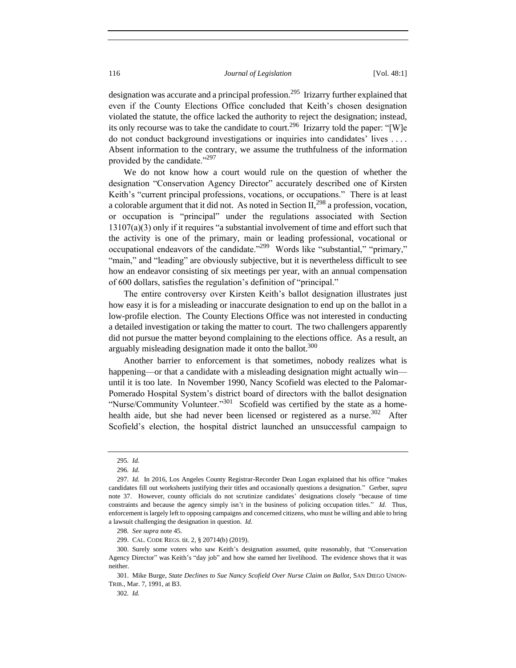designation was accurate and a principal profession.<sup>295</sup> Irizarry further explained that even if the County Elections Office concluded that Keith's chosen designation violated the statute, the office lacked the authority to reject the designation; instead, its only recourse was to take the candidate to court.<sup>296</sup> Irizarry told the paper: "[W]e do not conduct background investigations or inquiries into candidates' lives . . . . Absent information to the contrary, we assume the truthfulness of the information provided by the candidate."<sup>297</sup>

We do not know how a court would rule on the question of whether the designation "Conservation Agency Director" accurately described one of Kirsten Keith's "current principal professions, vocations, or occupations." There is at least a colorable argument that it did not. As noted in Section  $II<sub>1</sub><sup>298</sup>$  a profession, vocation, or occupation is "principal" under the regulations associated with Section 13107(a)(3) only if it requires "a substantial involvement of time and effort such that the activity is one of the primary, main or leading professional, vocational or occupational endeavors of the candidate."<sup>299</sup> Words like "substantial," "primary," "main," and "leading" are obviously subjective, but it is nevertheless difficult to see how an endeavor consisting of six meetings per year, with an annual compensation of 600 dollars, satisfies the regulation's definition of "principal."

The entire controversy over Kirsten Keith's ballot designation illustrates just how easy it is for a misleading or inaccurate designation to end up on the ballot in a low-profile election. The County Elections Office was not interested in conducting a detailed investigation or taking the matter to court. The two challengers apparently did not pursue the matter beyond complaining to the elections office. As a result, an arguably misleading designation made it onto the ballot.<sup>300</sup>

Another barrier to enforcement is that sometimes, nobody realizes what is happening—or that a candidate with a misleading designation might actually win until it is too late. In November 1990, Nancy Scofield was elected to the Palomar-Pomerado Hospital System's district board of directors with the ballot designation "Nurse/Community Volunteer."<sup>301</sup> Scofield was certified by the state as a homehealth aide, but she had never been licensed or registered as a nurse.  $302$  After Scofield's election, the hospital district launched an unsuccessful campaign to

<sup>295</sup>*. Id.*

<sup>296</sup>*. Id.*

<sup>297</sup>*. Id.* In 2016, Los Angeles County Registrar-Recorder Dean Logan explained that his office "makes candidates fill out worksheets justifying their titles and occasionally questions a designation." Gerber, *supra*  note 37. However, county officials do not scrutinize candidates' designations closely "because of time constraints and because the agency simply isn't in the business of policing occupation titles." *Id.* Thus, enforcement is largely left to opposing campaigns and concerned citizens, who must be willing and able to bring a lawsuit challenging the designation in question. *Id.*

<sup>298</sup>*. See supra* note 45.

<sup>299.</sup> CAL. CODE REGS. tit. 2, § 20714(b) (2019).

<sup>300.</sup> Surely some voters who saw Keith's designation assumed, quite reasonably, that "Conservation Agency Director" was Keith's "day job" and how she earned her livelihood. The evidence shows that it was neither.

<sup>301.</sup> Mike Burge, *State Declines to Sue Nancy Scofield Over Nurse Claim on Ballot*, SAN DIEGO UNION-TRIB., Mar. 7, 1991, at B3.

<sup>302</sup>*. Id.*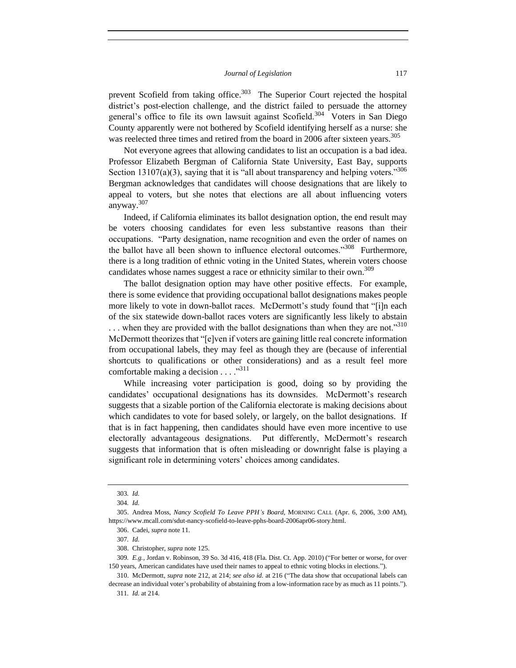prevent Scofield from taking office. $303$  The Superior Court rejected the hospital district's post-election challenge, and the district failed to persuade the attorney general's office to file its own lawsuit against Scofield.<sup>304</sup> Voters in San Diego County apparently were not bothered by Scofield identifying herself as a nurse: she was reelected three times and retired from the board in 2006 after sixteen years.<sup>305</sup>

Not everyone agrees that allowing candidates to list an occupation is a bad idea. Professor Elizabeth Bergman of California State University, East Bay, supports Section 13107(a)(3), saying that it is "all about transparency and helping voters."<sup>306</sup> Bergman acknowledges that candidates will choose designations that are likely to appeal to voters, but she notes that elections are all about influencing voters anyway.<sup>307</sup>

Indeed, if California eliminates its ballot designation option, the end result may be voters choosing candidates for even less substantive reasons than their occupations. "Party designation, name recognition and even the order of names on the ballot have all been shown to influence electoral outcomes."<sup>308</sup> Furthermore, there is a long tradition of ethnic voting in the United States, wherein voters choose candidates whose names suggest a race or ethnicity similar to their own.<sup>309</sup>

The ballot designation option may have other positive effects. For example, there is some evidence that providing occupational ballot designations makes people more likely to vote in down-ballot races. McDermott's study found that "[i]n each of the six statewide down-ballot races voters are significantly less likely to abstain  $\ldots$  when they are provided with the ballot designations than when they are not."<sup>310</sup> McDermott theorizes that "[e]ven if voters are gaining little real concrete information from occupational labels, they may feel as though they are (because of inferential shortcuts to qualifications or other considerations) and as a result feel more comfortable making a decision  $\dots$ ."<sup>311</sup>

While increasing voter participation is good, doing so by providing the candidates' occupational designations has its downsides. McDermott's research suggests that a sizable portion of the California electorate is making decisions about which candidates to vote for based solely, or largely, on the ballot designations. If that is in fact happening, then candidates should have even more incentive to use electorally advantageous designations. Put differently, McDermott's research suggests that information that is often misleading or downright false is playing a significant role in determining voters' choices among candidates.

<sup>303</sup>*. Id.*

<sup>304</sup>*. Id.*

<sup>305.</sup> Andrea Moss, *Nancy Scofield To Leave PPH's Board*, MORNING CALL (Apr. 6, 2006, 3:00 AM), https://www.mcall.com/sdut-nancy-scofield-to-leave-pphs-board-2006apr06-story.html.

<sup>306.</sup> Cadei, *supra* note 11.

<sup>307</sup>*. Id.*

<sup>308.</sup> Christopher, *supra* note 125.

<sup>309</sup>*. E.g.,* Jordan v. Robinson, 39 So. 3d 416, 418 (Fla. Dist. Ct. App. 2010) ("For better or worse, for over 150 years, American candidates have used their names to appeal to ethnic voting blocks in elections.").

<sup>310.</sup> McDermott, *supra* note 212, at 214; *see also id.* at 216 ("The data show that occupational labels can decrease an individual voter's probability of abstaining from a low-information race by as much as 11 points.").

<sup>311</sup>*. Id.* at 214.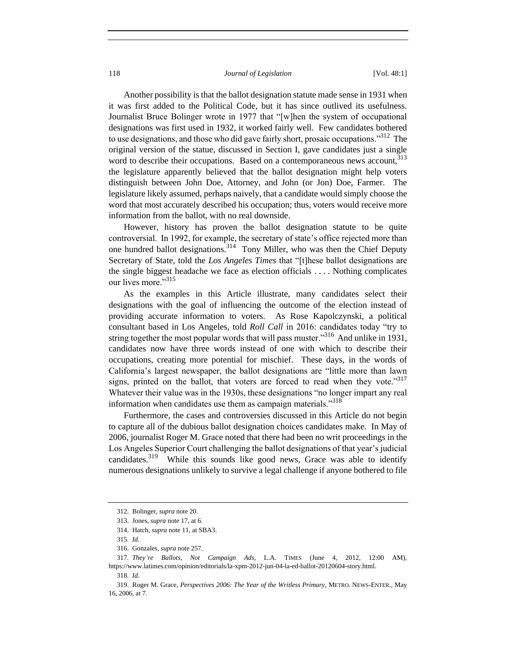Another possibility is that the ballot designation statute made sense in 1931 when it was first added to the Political Code, but it has since outlived its usefulness. Journalist Bruce Bolinger wrote in 1977 that "[w]hen the system of occupational designations was first used in 1932, it worked fairly well. Few candidates bothered to use designations, and those who did gave fairly short, prosaic occupations."<sup>312</sup> The original version of the statue, discussed in Section I, gave candidates just a single word to describe their occupations. Based on a contemporaneous news account, 313 the legislature apparently believed that the ballot designation might help voters distinguish between John Doe, Attorney, and John (or Jon) Doe, Farmer. The legislature likely assumed, perhaps naively, that a candidate would simply choose the word that most accurately described his occupation; thus, voters would receive more information from the ballot, with no real downside.

However, history has proven the ballot designation statute to be quite controversial. In 1992, for example, the secretary of state's office rejected more than one hundred ballot designations.<sup>314</sup> Tony Miller, who was then the Chief Deputy Secretary of State, told the *Los Angeles Times* that "[t]hese ballot designations are the single biggest headache we face as election officials . . . . Nothing complicates our lives more."<sup>315</sup>

As the examples in this Article illustrate, many candidates select their designations with the goal of influencing the outcome of the election instead of providing accurate information to voters. As Rose Kapolczynski, a political consultant based in Los Angeles, told *Roll Call* in 2016: candidates today "try to string together the most popular words that will pass muster."<sup>316</sup> And unlike in 1931, candidates now have three words instead of one with which to describe their occupations, creating more potential for mischief. These days, in the words of California's largest newspaper, the ballot designations are "little more than lawn signs, printed on the ballot, that voters are forced to read when they vote." $317$ Whatever their value was in the 1930s, these designations "no longer impart any real information when candidates use them as campaign materials."<sup>318</sup>

Furthermore, the cases and controversies discussed in this Article do not begin to capture all of the dubious ballot designation choices candidates make. In May of 2006, journalist Roger M. Grace noted that there had been no writ proceedings in the Los Angeles Superior Court challenging the ballot designations of that year's judicial candidates.<sup>319</sup> While this sounds like good news, Grace was able to identify numerous designations unlikely to survive a legal challenge if anyone bothered to file

<sup>312.</sup> Bolinger, *supra* note 20.

<sup>313.</sup> Jones, *supra* note 17, at 6.

<sup>314.</sup> Hatch, *supra* note 11, at SBA3.

<sup>315</sup>*. Id.*

<sup>316.</sup> Gonzales, *supra* note 257.

<sup>317</sup>*. They're Ballots, Not Campaign Ads*, L.A. TIMES (June 4, 2012, 12:00 AM), https://www.latimes.com/opinion/editorials/la-xpm-2012-jun-04-la-ed-ballot-20120604-story.html. 318*. Id.*

<sup>319.</sup> Roger M. Grace, *Perspectives 2006: The Year of the Writless Primary*, METRO. NEWS-ENTER., May 16, 2006, at 7.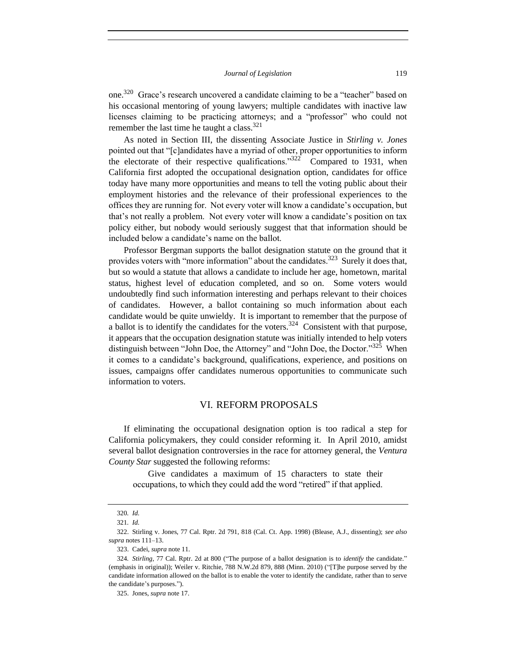one.<sup>320</sup> Grace's research uncovered a candidate claiming to be a "teacher" based on his occasional mentoring of young lawyers; multiple candidates with inactive law licenses claiming to be practicing attorneys; and a "professor" who could not remember the last time he taught a class. $321$ 

As noted in Section III, the dissenting Associate Justice in *Stirling v. Jones* pointed out that "[c]andidates have a myriad of other, proper opportunities to inform the electorate of their respective qualifications." $322$  Compared to 1931, when California first adopted the occupational designation option, candidates for office today have many more opportunities and means to tell the voting public about their employment histories and the relevance of their professional experiences to the offices they are running for. Not every voter will know a candidate's occupation, but that's not really a problem. Not every voter will know a candidate's position on tax policy either, but nobody would seriously suggest that that information should be included below a candidate's name on the ballot.

Professor Bergman supports the ballot designation statute on the ground that it provides voters with "more information" about the candidates.<sup>323</sup> Surely it does that, but so would a statute that allows a candidate to include her age, hometown, marital status, highest level of education completed, and so on. Some voters would undoubtedly find such information interesting and perhaps relevant to their choices of candidates. However, a ballot containing so much information about each candidate would be quite unwieldy. It is important to remember that the purpose of a ballot is to identify the candidates for the voters.<sup>324</sup> Consistent with that purpose, it appears that the occupation designation statute was initially intended to help voters distinguish between "John Doe, the Attorney" and "John Doe, the Doctor."<sup>325</sup> When it comes to a candidate's background, qualifications, experience, and positions on issues, campaigns offer candidates numerous opportunities to communicate such information to voters.

# VI. REFORM PROPOSALS

If eliminating the occupational designation option is too radical a step for California policymakers, they could consider reforming it. In April 2010, amidst several ballot designation controversies in the race for attorney general, the *Ventura County Star* suggested the following reforms:

Give candidates a maximum of 15 characters to state their occupations, to which they could add the word "retired" if that applied.

<sup>320</sup>*. Id.*

<sup>321</sup>*. Id.*

<sup>322.</sup> Stirling v. Jones, 77 Cal. Rptr. 2d 791, 818 (Cal. Ct. App. 1998) (Blease, A.J., dissenting); *see also supra* notes 111–13.

<sup>323.</sup> Cadei, *supra* note 11.

<sup>324</sup>*. Stirling*, 77 Cal. Rptr. 2d at 800 ("The purpose of a ballot designation is to *identify* the candidate." (emphasis in original)); Weiler v. Ritchie, 788 N.W.2d 879, 888 (Minn. 2010) ("[T]he purpose served by the candidate information allowed on the ballot is to enable the voter to identify the candidate, rather than to serve the candidate's purposes.").

<sup>325.</sup> Jones, *supra* note 17.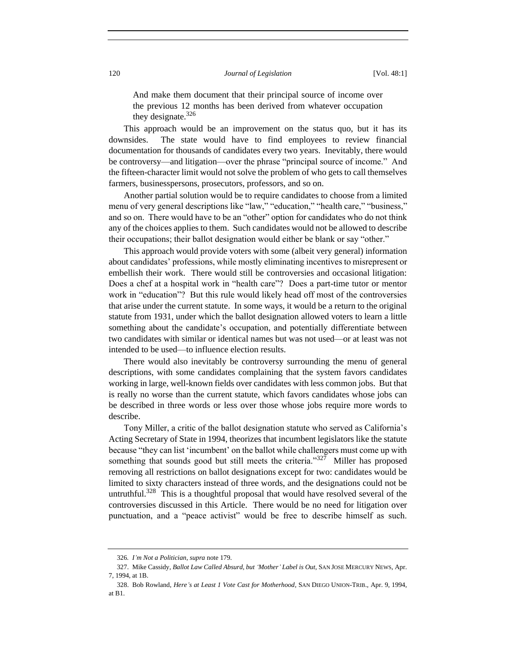And make them document that their principal source of income over the previous 12 months has been derived from whatever occupation they designate. $326$ 

This approach would be an improvement on the status quo, but it has its downsides. The state would have to find employees to review financial documentation for thousands of candidates every two years. Inevitably, there would be controversy—and litigation—over the phrase "principal source of income." And the fifteen-character limit would not solve the problem of who gets to call themselves farmers, businesspersons, prosecutors, professors, and so on.

Another partial solution would be to require candidates to choose from a limited menu of very general descriptions like "law," "education," "health care," "business," and so on. There would have to be an "other" option for candidates who do not think any of the choices applies to them. Such candidates would not be allowed to describe their occupations; their ballot designation would either be blank or say "other."

This approach would provide voters with some (albeit very general) information about candidates' professions, while mostly eliminating incentives to misrepresent or embellish their work. There would still be controversies and occasional litigation: Does a chef at a hospital work in "health care"? Does a part-time tutor or mentor work in "education"? But this rule would likely head off most of the controversies that arise under the current statute. In some ways, it would be a return to the original statute from 1931, under which the ballot designation allowed voters to learn a little something about the candidate's occupation, and potentially differentiate between two candidates with similar or identical names but was not used—or at least was not intended to be used—to influence election results.

There would also inevitably be controversy surrounding the menu of general descriptions, with some candidates complaining that the system favors candidates working in large, well-known fields over candidates with less common jobs. But that is really no worse than the current statute, which favors candidates whose jobs can be described in three words or less over those whose jobs require more words to describe.

Tony Miller, a critic of the ballot designation statute who served as California's Acting Secretary of State in 1994, theorizes that incumbent legislators like the statute because "they can list 'incumbent' on the ballot while challengers must come up with something that sounds good but still meets the criteria."<sup>327</sup> Miller has proposed removing all restrictions on ballot designations except for two: candidates would be limited to sixty characters instead of three words, and the designations could not be untruthful.<sup>328</sup> This is a thoughtful proposal that would have resolved several of the controversies discussed in this Article. There would be no need for litigation over punctuation, and a "peace activist" would be free to describe himself as such.

<sup>326</sup>*. I'm Not a Politician*, *supra* note 179.

<sup>327.</sup> Mike Cassidy, *Ballot Law Called Absurd, but 'Mother' Label is Out*, SAN JOSE MERCURY NEWS, Apr. 7, 1994, at 1B.

<sup>328.</sup> Bob Rowland, *Here's at Least 1 Vote Cast for Motherhood*, SAN DIEGO UNION-TRIB., Apr. 9, 1994, at B1.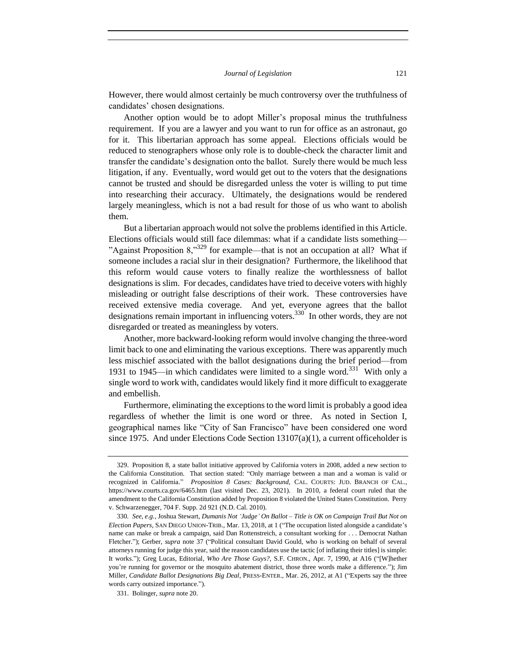However, there would almost certainly be much controversy over the truthfulness of candidates' chosen designations.

Another option would be to adopt Miller's proposal minus the truthfulness requirement. If you are a lawyer and you want to run for office as an astronaut, go for it. This libertarian approach has some appeal. Elections officials would be reduced to stenographers whose only role is to double-check the character limit and transfer the candidate's designation onto the ballot. Surely there would be much less litigation, if any. Eventually, word would get out to the voters that the designations cannot be trusted and should be disregarded unless the voter is willing to put time into researching their accuracy. Ultimately, the designations would be rendered largely meaningless, which is not a bad result for those of us who want to abolish them.

But a libertarian approach would not solve the problems identified in this Article. Elections officials would still face dilemmas: what if a candidate lists something— "Against Proposition  $8$ ,"<sup>329</sup> for example—that is not an occupation at all? What if someone includes a racial slur in their designation? Furthermore, the likelihood that this reform would cause voters to finally realize the worthlessness of ballot designations is slim. For decades, candidates have tried to deceive voters with highly misleading or outright false descriptions of their work. These controversies have received extensive media coverage. And yet, everyone agrees that the ballot designations remain important in influencing voters.<sup>330</sup> In other words, they are not disregarded or treated as meaningless by voters.

Another, more backward-looking reform would involve changing the three-word limit back to one and eliminating the various exceptions. There was apparently much less mischief associated with the ballot designations during the brief period—from 1931 to 1945—in which candidates were limited to a single word.<sup>331</sup> With only a single word to work with, candidates would likely find it more difficult to exaggerate and embellish.

Furthermore, eliminating the exceptions to the word limit is probably a good idea regardless of whether the limit is one word or three. As noted in Section I, geographical names like "City of San Francisco" have been considered one word since 1975. And under Elections Code Section 13107(a)(1), a current officeholder is

<sup>329.</sup> Proposition 8, a state ballot initiative approved by California voters in 2008, added a new section to the California Constitution. That section stated: "Only marriage between a man and a woman is valid or recognized in California." *Proposition 8 Cases: Background,* CAL. COURTS: JUD. BRANCH OF CAL., https://www.courts.ca.gov/6465.htm (last visited Dec. 23, 2021). In 2010, a federal court ruled that the amendment to the California Constitution added by Proposition 8 violated the United States Constitution. Perry v. Schwarzenegger, 704 F. Supp. 2d 921 (N.D. Cal. 2010).

<sup>330</sup>*. See, e.g.*, Joshua Stewart, *Dumanis Not 'Judge' On Ballot – Title is OK on Campaign Trail But Not on Election Papers*, SAN DIEGO UNION-TRIB., Mar. 13, 2018, at 1 ("The occupation listed alongside a candidate's name can make or break a campaign, said Dan Rottenstreich, a consultant working for . . . Democrat Nathan Fletcher."); Gerber, *supra* note 37 ("Political consultant David Gould, who is working on behalf of several attorneys running for judge this year, said the reason candidates use the tactic [of inflating their titles] is simple: It works."); Greg Lucas, Editorial, *Who Are Those Guys?*, S.F. CHRON., Apr. 7, 1990, at A16 ("[W]hether you're running for governor or the mosquito abatement district, those three words make a difference."); Jim Miller, *Candidate Ballot Designations Big Deal*, PRESS-ENTER., Mar. 26, 2012, at A1 ("Experts say the three words carry outsized importance.").

<sup>331.</sup> Bolinger, *supra* note 20.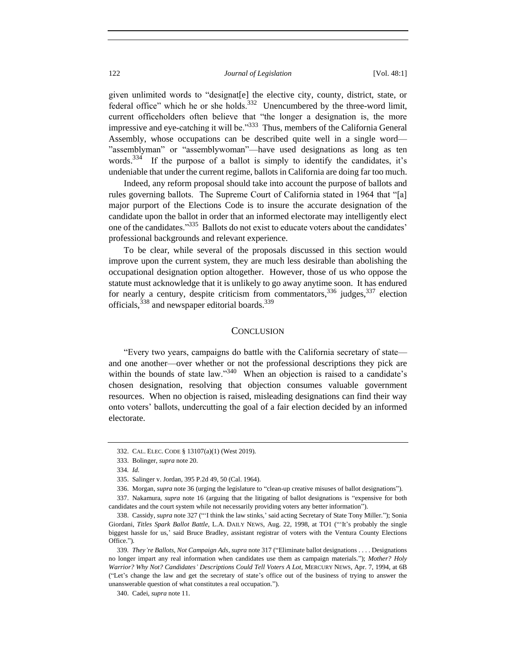given unlimited words to "designat[e] the elective city, county, district, state, or federal office" which he or she holds. $332$  Unencumbered by the three-word limit, current officeholders often believe that "the longer a designation is, the more impressive and eye-catching it will be."<sup>333</sup> Thus, members of the California General Assembly, whose occupations can be described quite well in a single word— "assemblyman" or "assemblywoman"—have used designations as long as ten words.<sup>334</sup> If the purpose of a ballot is simply to identify the candidates, it's undeniable that under the current regime, ballots in California are doing far too much.

Indeed, any reform proposal should take into account the purpose of ballots and rules governing ballots. The Supreme Court of California stated in 1964 that "[a] major purport of the Elections Code is to insure the accurate designation of the candidate upon the ballot in order that an informed electorate may intelligently elect one of the candidates."<sup>335</sup> Ballots do not exist to educate voters about the candidates' professional backgrounds and relevant experience.

To be clear, while several of the proposals discussed in this section would improve upon the current system, they are much less desirable than abolishing the occupational designation option altogether. However, those of us who oppose the statute must acknowledge that it is unlikely to go away anytime soon. It has endured for nearly a century, despite criticism from commentators,  $336$  judges,  $337$  election officials,<sup>338</sup> and newspaper editorial boards.<sup>339</sup>

## **CONCLUSION**

"Every two years, campaigns do battle with the California secretary of state and one another—over whether or not the professional descriptions they pick are within the bounds of state law."<sup>340</sup> When an objection is raised to a candidate's chosen designation, resolving that objection consumes valuable government resources. When no objection is raised, misleading designations can find their way onto voters' ballots, undercutting the goal of a fair election decided by an informed electorate.

<sup>332.</sup> CAL. ELEC. CODE § 13107(a)(1) (West 2019).

<sup>333.</sup> Bolinger, *supra* note 20.

<sup>334</sup>*. Id.*

<sup>335.</sup> Salinger v. Jordan, 395 P.2d 49, 50 (Cal. 1964).

<sup>336.</sup> Morgan, *supra* note 36 (urging the legislature to "clean-up creative misuses of ballot designations").

<sup>337.</sup> Nakamura, *supra* note 16 (arguing that the litigating of ballot designations is "expensive for both candidates and the court system while not necessarily providing voters any better information").

<sup>338.</sup> Cassidy, *supra* note 327 ("'I think the law stinks,' said acting Secretary of State Tony Miller."); Sonia Giordani, *Titles Spark Ballot Battle*, L.A. DAILY NEWS, Aug. 22, 1998, at TO1 ("'It's probably the single biggest hassle for us,' said Bruce Bradley, assistant registrar of voters with the Ventura County Elections Office.").

<sup>339</sup>*. They're Ballots, Not Campaign Ads*, *supra* note 317 ("Eliminate ballot designations . . . . Designations no longer impart any real information when candidates use them as campaign materials."); *Mother? Holy Warrior? Why Not? Candidates' Descriptions Could Tell Voters A Lot*, MERCURY NEWS, Apr. 7, 1994, at 6B ("Let's change the law and get the secretary of state's office out of the business of trying to answer the unanswerable question of what constitutes a real occupation.").

<sup>340.</sup> Cadei, *supra* note 11.